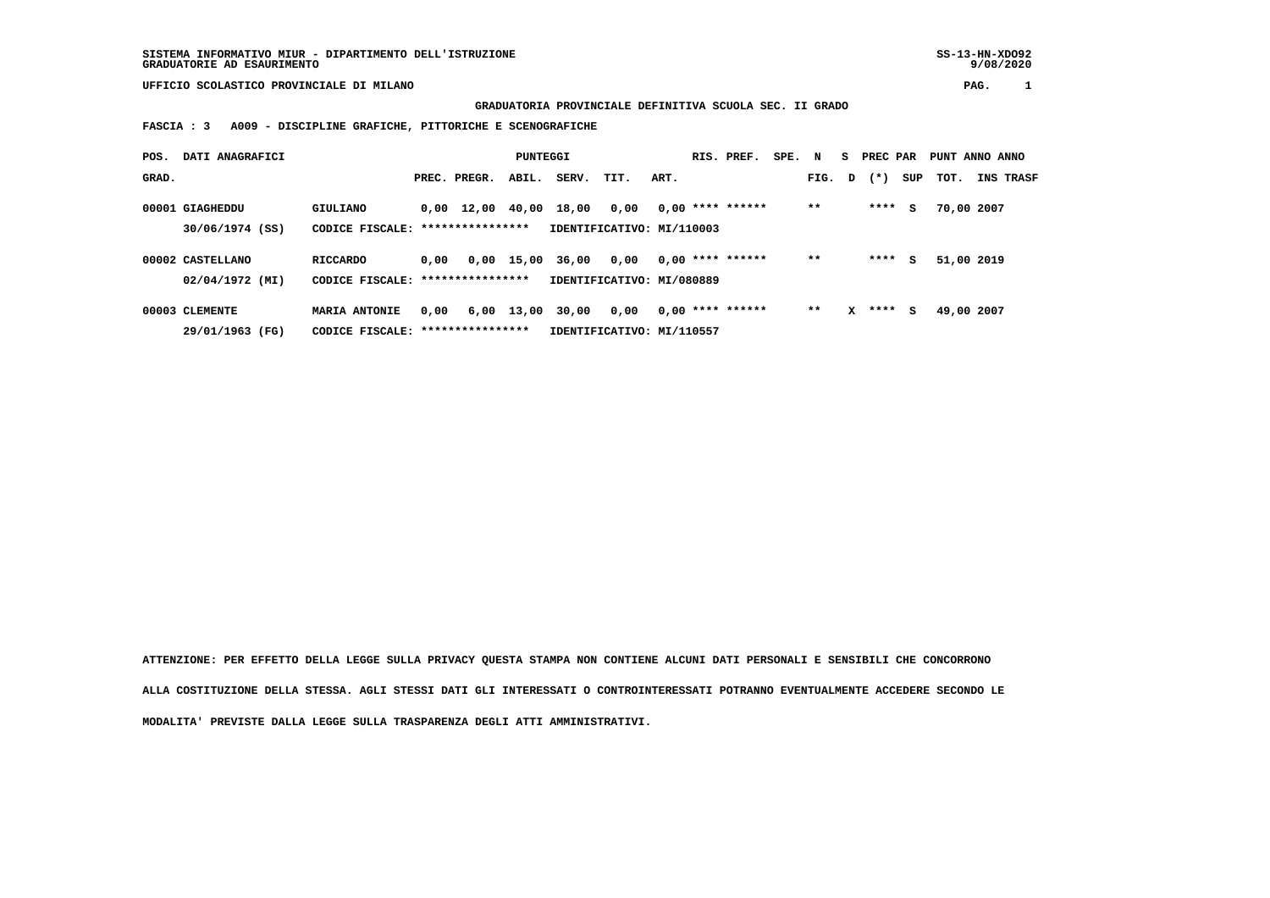**GRADUATORIA PROVINCIALE DEFINITIVA SCUOLA SEC. II GRADO**

 **FASCIA : 3 A009 - DISCIPLINE GRAFICHE, PITTORICHE E SCENOGRAFICHE**

| POS.  | DATI ANAGRAFICI  |                                   |      |                                            | PUNTEGGI   |                           |      |      | RIS. PREF.         | SPE. N |        |   | S PREC PAR |     | PUNT ANNO ANNO |                  |
|-------|------------------|-----------------------------------|------|--------------------------------------------|------------|---------------------------|------|------|--------------------|--------|--------|---|------------|-----|----------------|------------------|
| GRAD. |                  |                                   |      | PREC. PREGR.                               | ABIL.      | SERV.                     | TIT. | ART. |                    |        | FIG. D |   | $(*)$      | SUP | TOT.           | <b>INS TRASF</b> |
|       | 00001 GIAGHEDDU  | GIULIANO                          |      | $0.00 \quad 12.00 \quad 40.00 \quad 18.00$ |            |                           | 0.00 |      | $0,00$ **** ****** |        | $**$   |   | ****       | s   | 70,00 2007     |                  |
|       | 30/06/1974 (SS)  | CODICE FISCALE:                   |      | ****************                           |            | IDENTIFICATIVO: MI/110003 |      |      |                    |        |        |   |            |     |                |                  |
|       | 00002 CASTELLANO | <b>RICCARDO</b>                   | 0,00 |                                            | 0,00 15,00 | 36,00                     | 0.00 |      | $0.00$ **** ****** |        | $* *$  |   | ****       | s   | 51,00 2019     |                  |
|       | 02/04/1972 (MI)  | CODICE FISCALE: ***************** |      |                                            |            | IDENTIFICATIVO: MI/080889 |      |      |                    |        |        |   |            |     |                |                  |
|       | 00003 CLEMENTE   | <b>MARIA ANTONIE</b>              | 0,00 |                                            | 6,00 13,00 | 30,00                     | 0,00 |      | $0,00$ **** ****** |        | $* *$  | x | ****       | s   | 49,00 2007     |                  |
|       | 29/01/1963 (FG)  | CODICE FISCALE: ***************** |      |                                            |            | IDENTIFICATIVO: MI/110557 |      |      |                    |        |        |   |            |     |                |                  |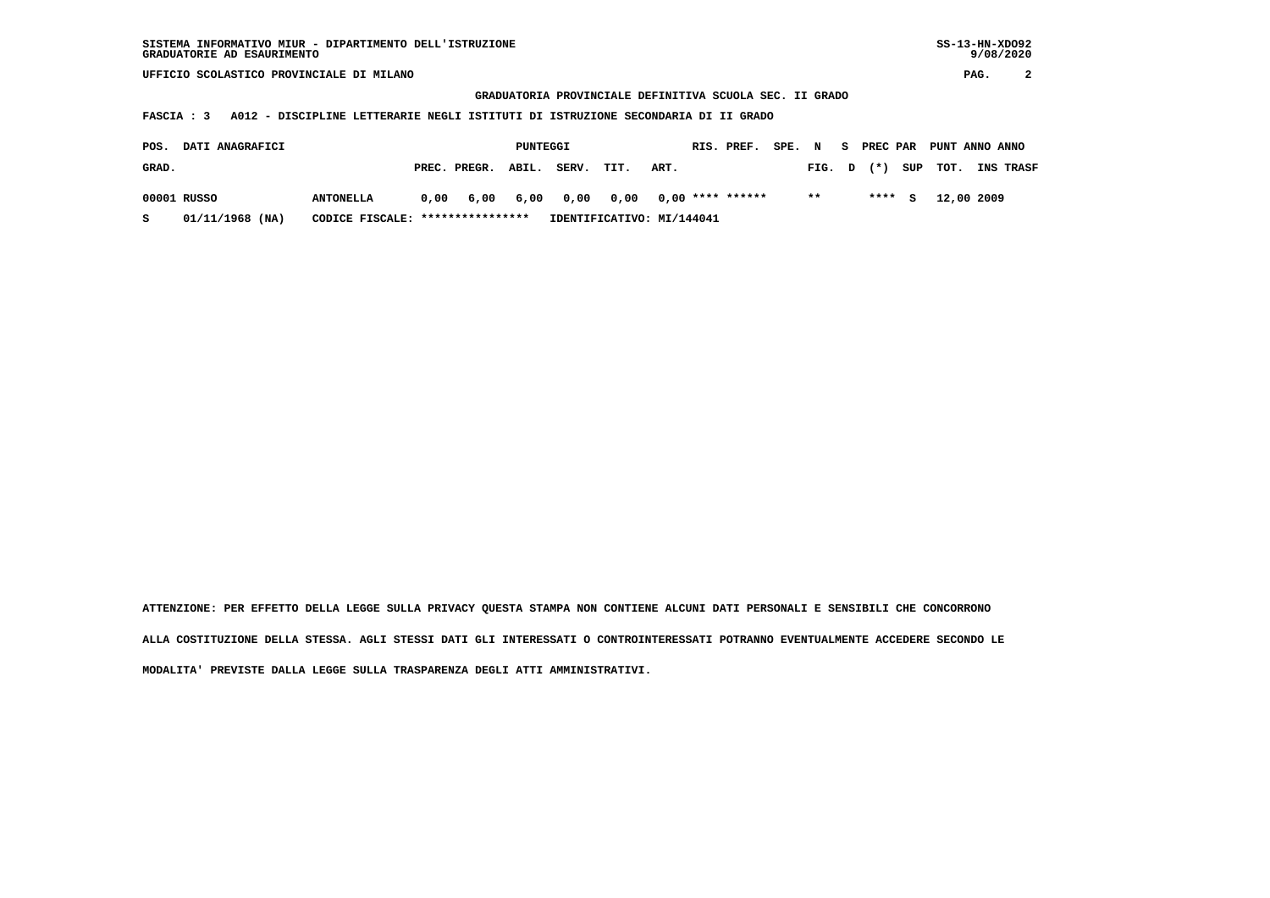**GRADUATORIA PROVINCIALE DEFINITIVA SCUOLA SEC. II GRADO**

 **FASCIA : 3 A012 - DISCIPLINE LETTERARIE NEGLI ISTITUTI DI ISTRUZIONE SECONDARIA DI II GRADO**

| POS.  | <b>DATI ANAGRAFICI</b> |                                  |      |                    | PUNTEGGI |                                      |                           |      | RIS. PREF. | SPE. N |       | S PREC PAR   |         | PUNT ANNO ANNO |                  |
|-------|------------------------|----------------------------------|------|--------------------|----------|--------------------------------------|---------------------------|------|------------|--------|-------|--------------|---------|----------------|------------------|
| GRAD. |                        |                                  |      | PREC. PREGR. ABIL. |          | SERV.                                | TIT.                      | ART. |            |        |       | $FIG. D (*)$ |         | SUP TOT.       | <b>INS TRASF</b> |
|       | 00001 RUSSO            | <b>ANTONELLA</b>                 | 0,00 |                    |          | 6,00 6,00 0,00 0,00 0,00 **** ****** |                           |      |            |        | $* *$ |              | $***$ S | 12,00 2009     |                  |
|       | 01/11/1968 (NA)        | CODICE FISCALE: **************** |      |                    |          |                                      | IDENTIFICATIVO: MI/144041 |      |            |        |       |              |         |                |                  |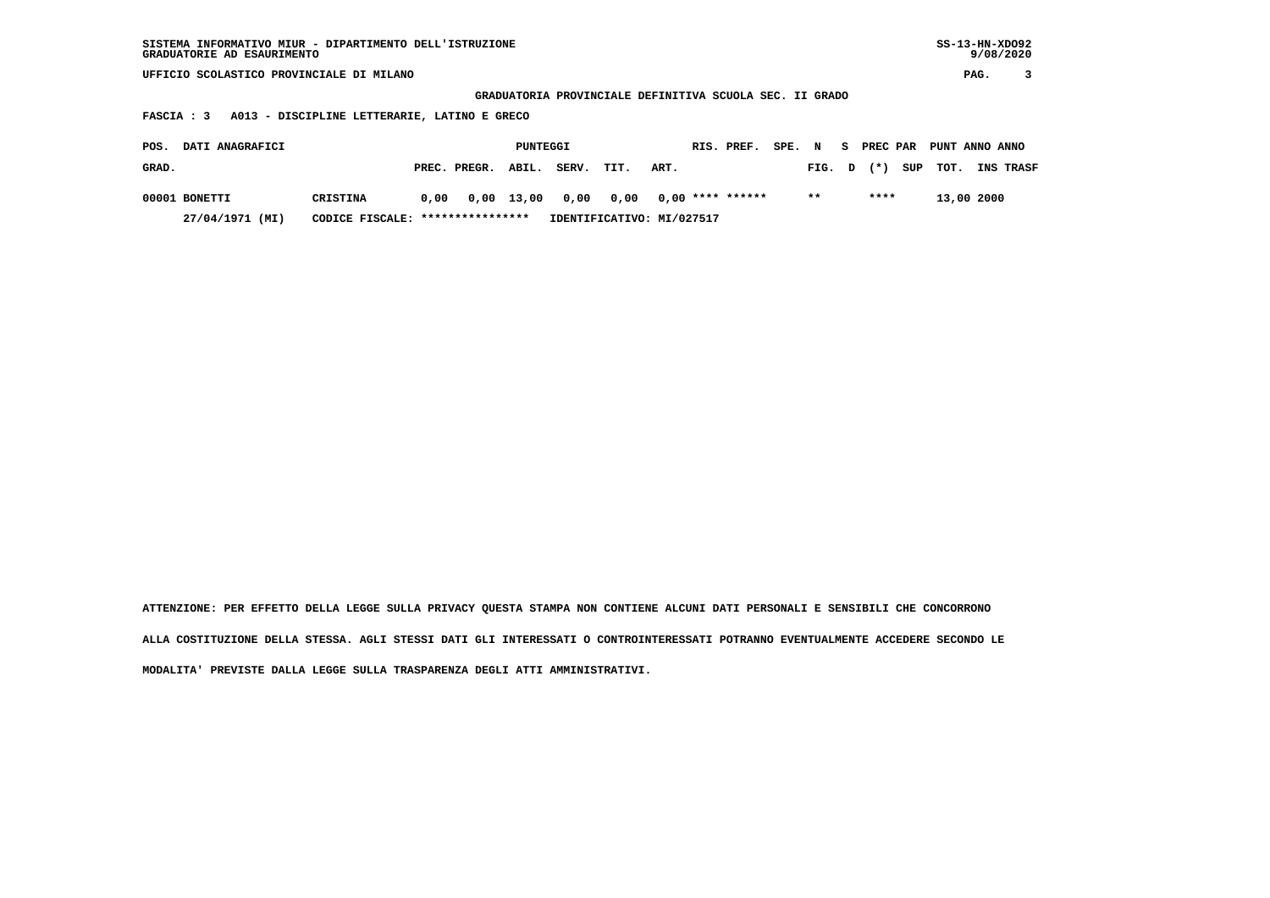| SISTEMA INFORMATIVO MIUR - DIPARTIMENTO DELL'ISTRUZIONE | SS-13-HN-XD092 |
|---------------------------------------------------------|----------------|
| GRADUATORIE AD ESAURIMENTO                              | 9/08/2020      |

 **GRADUATORIA PROVINCIALE DEFINITIVA SCUOLA SEC. II GRADO**

 **FASCIA : 3 A013 - DISCIPLINE LETTERARIE, LATINO E GRECO**

| POS.  | <b>DATI ANAGRAFICI</b> |                                  |      |              | PUNTEGGI |                      |                           |      | RIS. PREF.       | SPE. N |        | . S. | PREC PAR | PUNT ANNO ANNO |            |                  |
|-------|------------------------|----------------------------------|------|--------------|----------|----------------------|---------------------------|------|------------------|--------|--------|------|----------|----------------|------------|------------------|
| GRAD. |                        |                                  |      | PREC. PREGR. | ABIL.    | SERV.                | TIT.                      | ART. |                  |        | FIG. D |      | $(*)$    | SUP TOT.       |            | <b>INS TRASF</b> |
|       | 00001 BONETTI          | CRISTINA                         | 0.00 |              |          | 0,00 13,00 0,00 0,00 |                           |      | 0,00 **** ****** |        | $* *$  |      | ****     |                | 13,00 2000 |                  |
|       | 27/04/1971 (MI)        | CODICE FISCALE: **************** |      |              |          |                      | IDENTIFICATIVO: MI/027517 |      |                  |        |        |      |          |                |            |                  |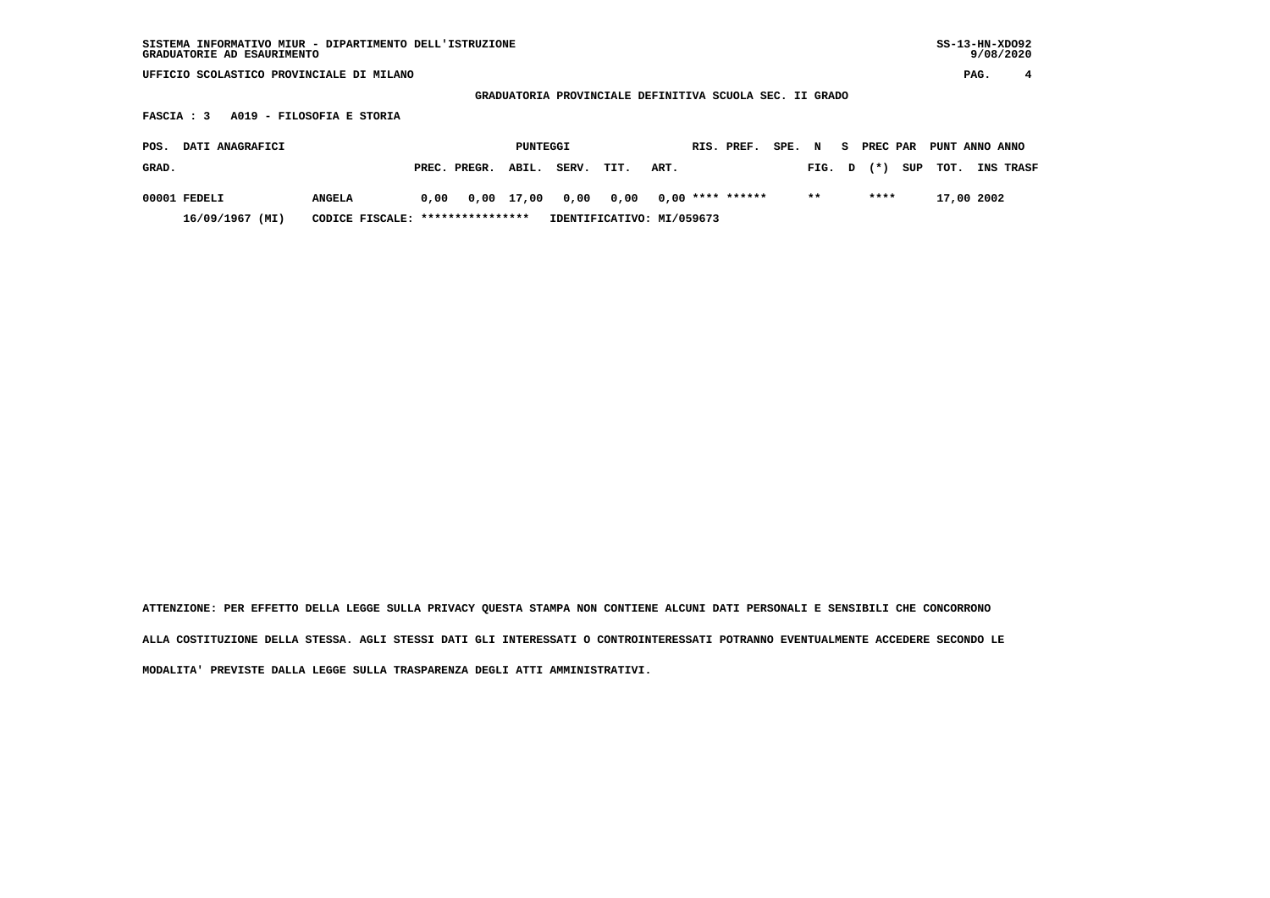| SISTEMA INFORMATIVO MIUR - DIPARTIMENTO DELL'ISTRUZIONE<br>GRADUATORIE AD ESAURIMENTO |                       |                           |                                                         |                 | $SS-13-HN-XDO92$<br>9/08/2020 |
|---------------------------------------------------------------------------------------|-----------------------|---------------------------|---------------------------------------------------------|-----------------|-------------------------------|
| UFFICIO SCOLASTICO PROVINCIALE DI MILANO                                              |                       |                           |                                                         |                 | PAG.<br>4                     |
|                                                                                       |                       |                           | GRADUATORIA PROVINCIALE DEFINITIVA SCUOLA SEC. II GRADO |                 |                               |
| A019 - FILOSOFIA E STORIA<br><b>FASCIA : 3</b>                                        |                       |                           |                                                         |                 |                               |
| DATI ANAGRAFICI<br>POS.                                                               | PUNTEGGI              |                           | RIS. PREF.<br>SPE.                                      | S PREC PAR<br>N | PUNT ANNO ANNO                |
| GRAD.                                                                                 | PREC. PREGR.<br>ABIL. | SERV.<br>TIT.             | ART.                                                    | $(*)$<br>FIG. D | SUP<br>тот.<br>INS TRASF      |
| 00001 FEDELI<br><b>ANGELA</b>                                                         | 0,00 17,00<br>0,00    | 0,00<br>0,00              | $0,00$ **** ******                                      | ****<br>$* *$   | 17,00 2002                    |
| 16/09/1967 (MI)<br>CODICE FISCALE:                                                    | ****************      | IDENTIFICATIVO: MI/059673 |                                                         |                 |                               |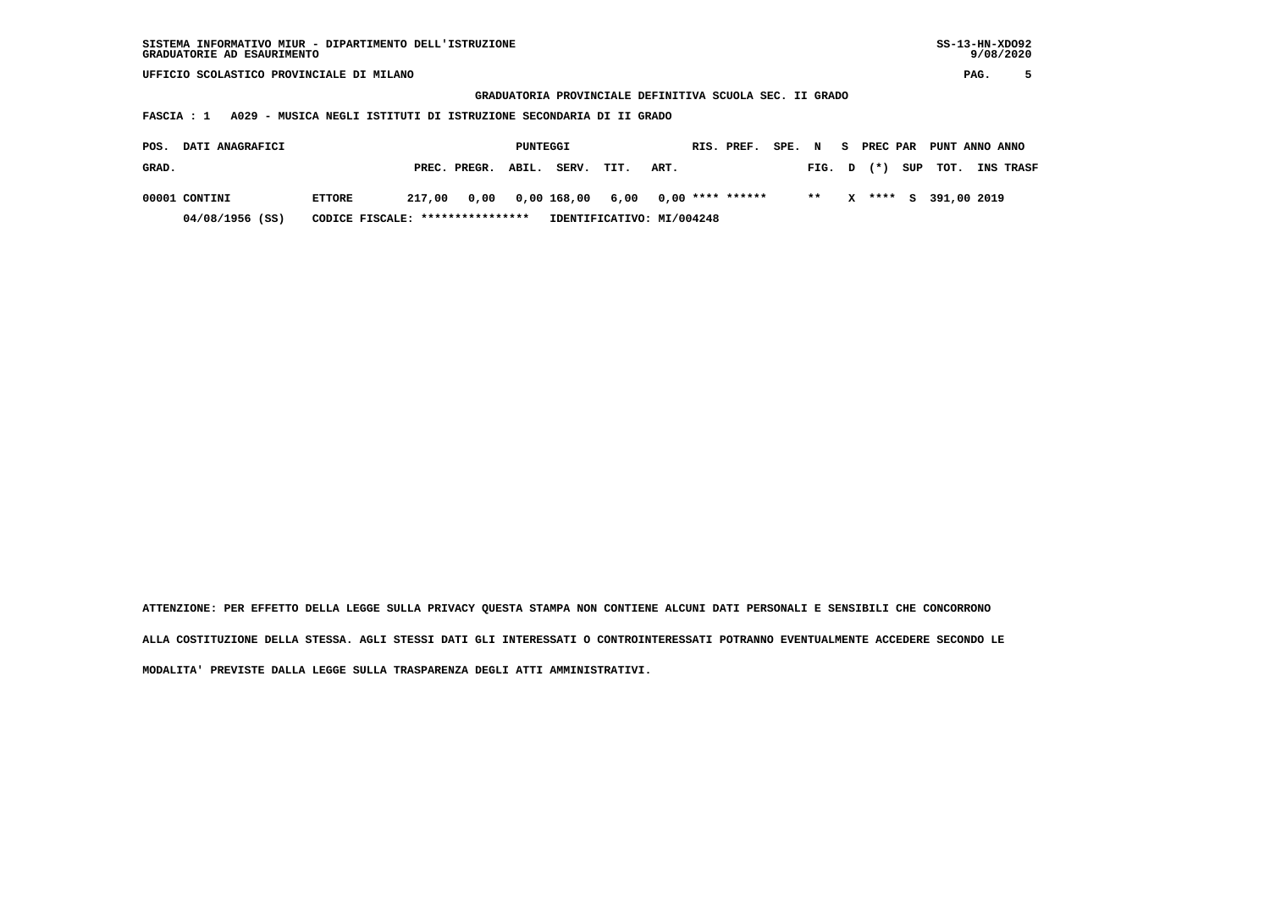| SISTEMA INFORMATIVO MIUR - DIPARTIMENTO DELL'ISTRUZIONE | SS-13-HN-XD092 |
|---------------------------------------------------------|----------------|
| GRADUATORIE AD ESAURIMENTO                              | 9/08/2020      |

 $SS-13-HN-XDO92$  $9/08/2020$ 

 **UFFICIO SCOLASTICO PROVINCIALE DI MILANO PAG. 5**

 **GRADUATORIA PROVINCIALE DEFINITIVA SCUOLA SEC. II GRADO**

 **FASCIA : 1 A029 - MUSICA NEGLI ISTITUTI DI ISTRUZIONE SECONDARIA DI II GRADO**

| POS.  | <b>DATI ANAGRAFICI</b> |                                  |        |                    | PUNTEGGI |                                        |                           |      | RIS. PREF. | SPE. N |        |   |  | S PREC PAR PUNT ANNO ANNO |                  |
|-------|------------------------|----------------------------------|--------|--------------------|----------|----------------------------------------|---------------------------|------|------------|--------|--------|---|--|---------------------------|------------------|
| GRAD. |                        |                                  |        | PREC. PREGR. ABIL. |          | SERV.                                  | TIT.                      | ART. |            |        | FIG. D |   |  | $(*)$ SUP TOT.            | <b>INS TRASF</b> |
|       | 00001 CONTINI          | <b>ETTORE</b>                    | 217,00 |                    |          | 0,00 0,00 168,00 6,00 0,00 **** ****** |                           |      |            |        | $* *$  | X |  | **** S 391,00 2019        |                  |
|       | 04/08/1956 (SS)        | CODICE FISCALE: **************** |        |                    |          |                                        | IDENTIFICATIVO: MI/004248 |      |            |        |        |   |  |                           |                  |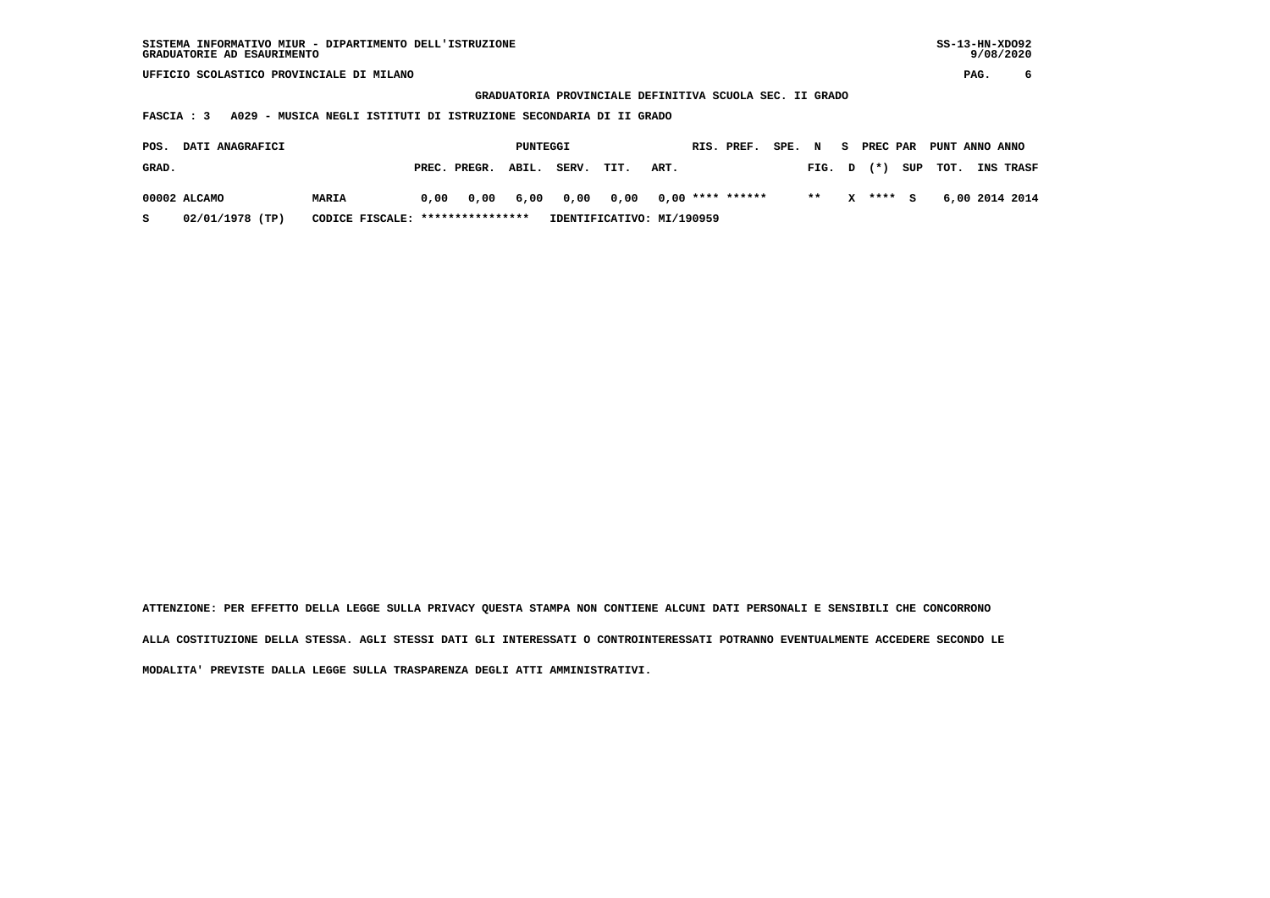**GRADUATORIA PROVINCIALE DEFINITIVA SCUOLA SEC. II GRADO**

 **FASCIA : 3 A029 - MUSICA NEGLI ISTITUTI DI ISTRUZIONE SECONDARIA DI II GRADO**

| POS.  | <b>DATI ANAGRAFICI</b> |                                  |      |                    | PUNTEGGI |                                      |      |                           | RIS. PREF. | SPE. | $\mathbf N$  | S PREC PAR | PUNT ANNO ANNO |                  |
|-------|------------------------|----------------------------------|------|--------------------|----------|--------------------------------------|------|---------------------------|------------|------|--------------|------------|----------------|------------------|
| GRAD. |                        |                                  |      | PREC. PREGR. ABIL. |          | SERV.                                | TIT. | ART.                      |            |      | $FIG. D (*)$ |            | SUP TOT.       | <b>INS TRASF</b> |
|       | 00002 ALCAMO           | <b>MARIA</b>                     | 0.00 |                    |          | 0,00 6,00 0,00 0,00 0,00 **** ****** |      |                           |            |      | $* *$        | X **** S   |                | 6,00 2014 2014   |
| s     | 02/01/1978 (TP)        | CODICE FISCALE: **************** |      |                    |          |                                      |      | IDENTIFICATIVO: MI/190959 |            |      |              |            |                |                  |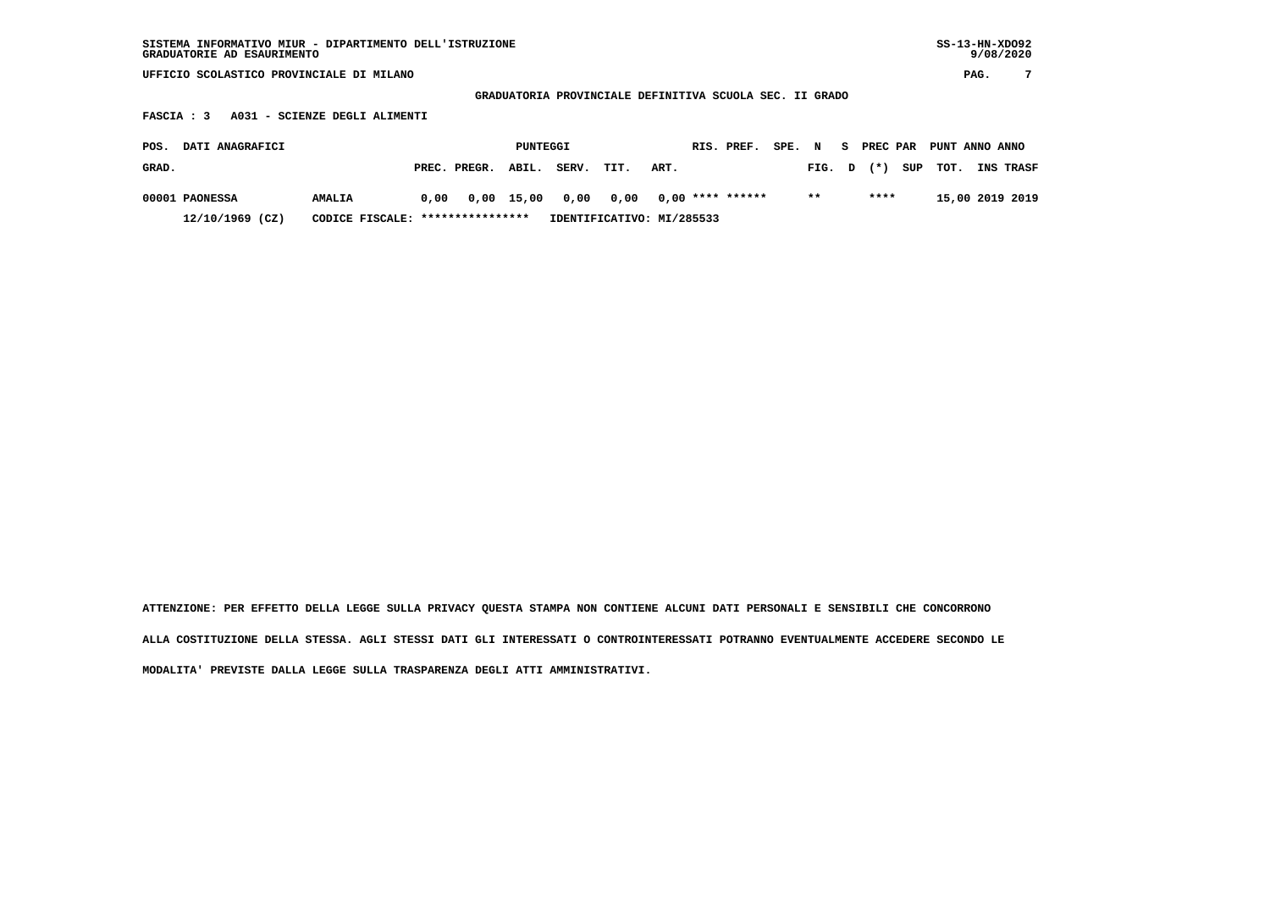| SISTEMA INFORMATIVO MIUR - DIPARTIMENTO DELL'ISTRUZIONE<br>GRADUATORIE AD ESAURIMENTO |       |        |          |       |      |      |                                                         |      |      |    |          |     |                |      | $SS-13-HN-XDO92$<br>9/08/2020 |
|---------------------------------------------------------------------------------------|-------|--------|----------|-------|------|------|---------------------------------------------------------|------|------|----|----------|-----|----------------|------|-------------------------------|
| SCOLASTICO PROVINCIALE DI MILANO<br>UFFICIO                                           |       |        |          |       |      |      |                                                         |      |      |    |          |     |                | PAG. | 7                             |
|                                                                                       |       |        |          |       |      |      | GRADUATORIA PROVINCIALE DEFINITIVA SCUOLA SEC. II GRADO |      |      |    |          |     |                |      |                               |
| A031 - SCIENZE DEGLI ALIMENTI<br>FASCIA : 3                                           |       |        |          |       |      |      |                                                         |      |      |    |          |     |                |      |                               |
|                                                                                       |       |        |          |       |      |      |                                                         |      |      |    |          |     |                |      |                               |
| DATI ANAGRAFICI<br>POS.                                                               |       |        | PUNTEGGI |       |      |      | RIS. PREF.                                              | SPE. | N    | S. | PREC PAR |     | PUNT ANNO ANNO |      |                               |
| GRAD.                                                                                 | PREC. | PREGR. | ABIL.    | SERV. | TIT. | ART. |                                                         |      | FIG. | D  | $($ $*$  | SUP | тот.           | INS  | TRASF                         |

 **00001 PAONESSA AMALIA 0,00 0,00 15,00 0,00 0,00 0,00 \*\*\*\* \*\*\*\*\*\* \*\* \*\*\*\* 15,00 2019 2019 12/10/1969 (CZ) CODICE FISCALE: \*\*\*\*\*\*\*\*\*\*\*\*\*\*\*\* IDENTIFICATIVO: MI/285533**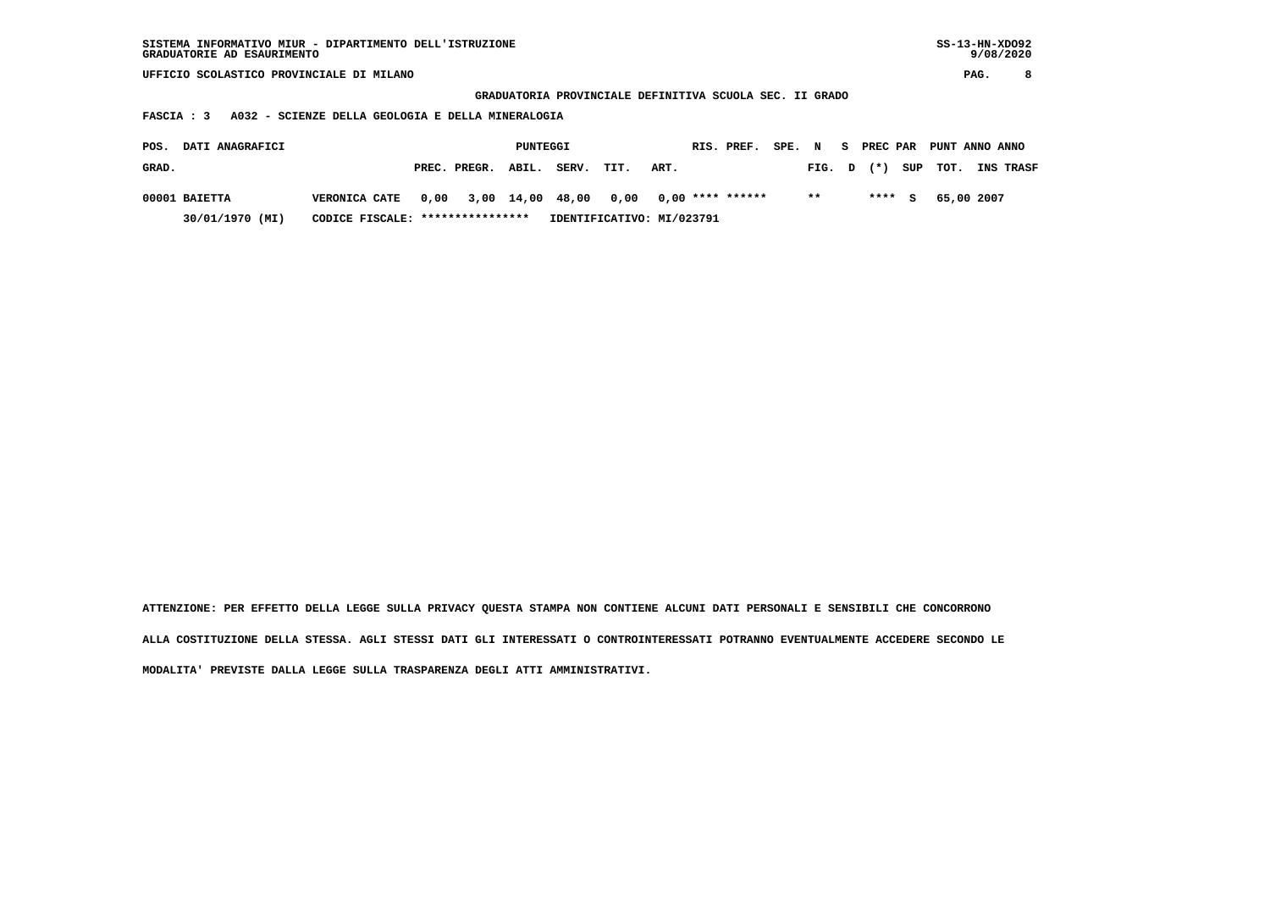| SISTEMA INFORMATIVO MIUR - DIPARTIMENTO DELL'ISTRUZIONE<br>GRADUATORIE AD ESAURIMENTO |                                                   |      |              |          |                                                         |                           |                    |            |        |       |    |          |     |            | $SS-13-HN-XDO92$<br>9/08/2020 |  |
|---------------------------------------------------------------------------------------|---------------------------------------------------|------|--------------|----------|---------------------------------------------------------|---------------------------|--------------------|------------|--------|-------|----|----------|-----|------------|-------------------------------|--|
| UFFICIO SCOLASTICO PROVINCIALE DI MILANO                                              |                                                   |      |              |          |                                                         |                           |                    |            |        |       |    |          |     |            | 8<br>PAG.                     |  |
|                                                                                       |                                                   |      |              |          | GRADUATORIA PROVINCIALE DEFINITIVA SCUOLA SEC. II GRADO |                           |                    |            |        |       |    |          |     |            |                               |  |
| FASCIA : 3                                                                            | A032 - SCIENZE DELLA GEOLOGIA E DELLA MINERALOGIA |      |              |          |                                                         |                           |                    |            |        |       |    |          |     |            |                               |  |
| DATI ANAGRAFICI<br>POS.                                                               |                                                   |      |              | PUNTEGGI |                                                         |                           |                    | RIS. PREF. | SPE. N |       | S. | PREC PAR |     |            | PUNT ANNO ANNO                |  |
| GRAD.                                                                                 |                                                   |      | PREC. PREGR. | ABIL.    | SERV.                                                   | TIT.                      | ART.               |            |        | FIG.  | D  | $(*)$    | SUP | TOT.       | INS TRASF                     |  |
| 00001 BAIETTA                                                                         | <b>VERONICA CATE</b>                              | 0,00 | 3,00         | 14,00    | 48,00                                                   | 0,00                      | $0.00$ **** ****** |            |        | $* *$ |    | ****     | s   | 65,00 2007 |                               |  |
| 30/01/1970 (MI)                                                                       | CODICE FISCALE: *****************                 |      |              |          |                                                         | IDENTIFICATIVO: MI/023791 |                    |            |        |       |    |          |     |            |                               |  |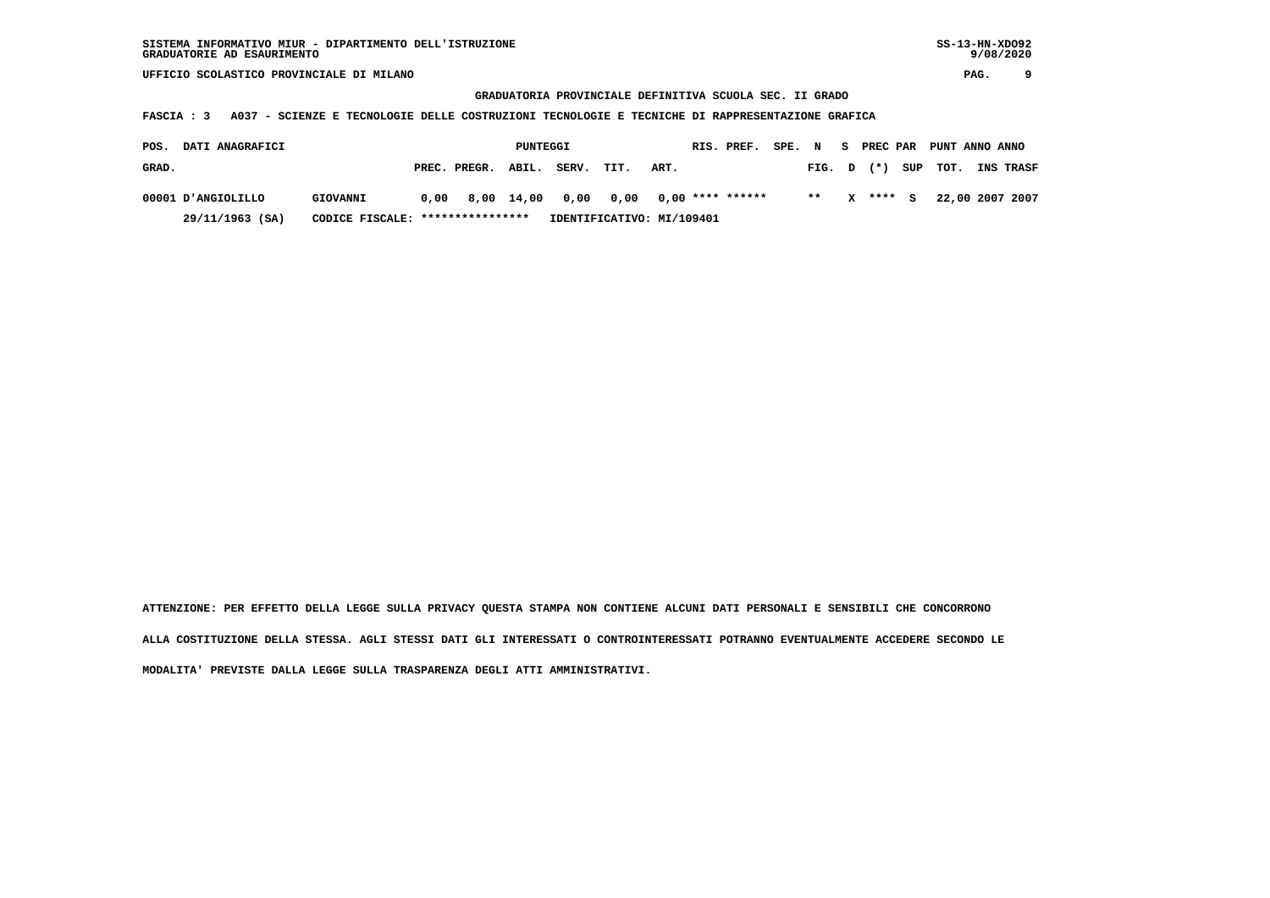**GRADUATORIA PROVINCIALE DEFINITIVA SCUOLA SEC. II GRADO**

 **FASCIA : 3 A037 - SCIENZE E TECNOLOGIE DELLE COSTRUZIONI TECNOLOGIE E TECNICHE DI RAPPRESENTAZIONE GRAFICA**

| POS.  | <b>DATI ANAGRAFICI</b> |                                  |      |                    | PUNTEGGI |       |                            |      | RIS. PREF. | SPE. | $\mathbf N$ | - S | PREC PAR |     | PUNT ANNO ANNO |                  |
|-------|------------------------|----------------------------------|------|--------------------|----------|-------|----------------------------|------|------------|------|-------------|-----|----------|-----|----------------|------------------|
| GRAD. |                        |                                  |      | PREC. PREGR. ABIL. |          | SERV. | TIT.                       | ART. |            |      | FIG. D      |     | $(*)$    | SUP | тот.           | <b>INS TRASF</b> |
|       | 00001 D'ANGIOLILLO     | GIOVANNI                         | 0,00 | 8,00 14,00         |          |       | 0,00 0,00 0,00 **** ****** |      |            |      | $**$        | x   | **** S   |     |                | 22,00 2007 2007  |
|       | 29/11/1963 (SA)        | CODICE FISCALE: **************** |      |                    |          |       | IDENTIFICATIVO: MI/109401  |      |            |      |             |     |          |     |                |                  |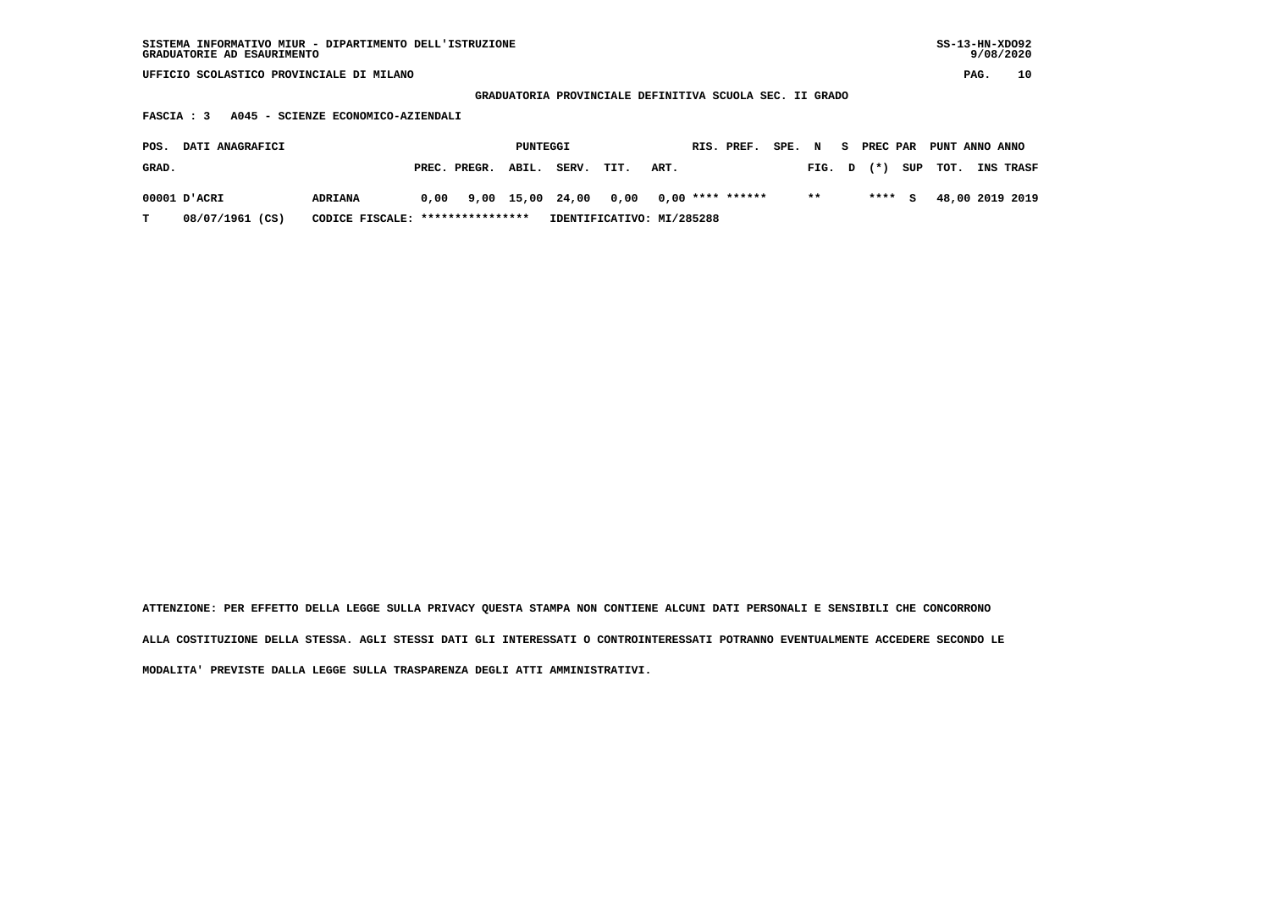| SISTEMA INFORMATIVO MIUR - DIPARTIMENTO DELL'ISTRUZIONE | $SS-13-HN-XDO92$ |
|---------------------------------------------------------|------------------|
| GRADUATORIE AD ESAURIMENTO                              | 9/08/2020        |

 **GRADUATORIA PROVINCIALE DEFINITIVA SCUOLA SEC. II GRADO**

 **FASCIA : 3 A045 - SCIENZE ECONOMICO-AZIENDALI**

| POS.  | <b>DATI ANAGRAFICI</b> |                                  |                    | PUNTEGGI |                                               |                           |      | RIS. PREF. | SPE. N |        | S PREC PAR | PUNT ANNO ANNO |                  |
|-------|------------------------|----------------------------------|--------------------|----------|-----------------------------------------------|---------------------------|------|------------|--------|--------|------------|----------------|------------------|
| GRAD. |                        |                                  | PREC. PREGR. ABIL. |          | SERV.                                         | TIT.                      | ART. |            |        | FIG. D |            | $(*)$ SUP TOT. | <b>INS TRASF</b> |
|       | 00001 D'ACRI           | <b>ADRIANA</b>                   |                    |          | $0,00$ 9,00 15,00 24,00 0,00 0,00 **** ****** |                           |      |            |        | $**$   | **** S     |                | 48,00 2019 2019  |
| т     | 08/07/1961 (CS)        | CODICE FISCALE: **************** |                    |          |                                               | IDENTIFICATIVO: MI/285288 |      |            |        |        |            |                |                  |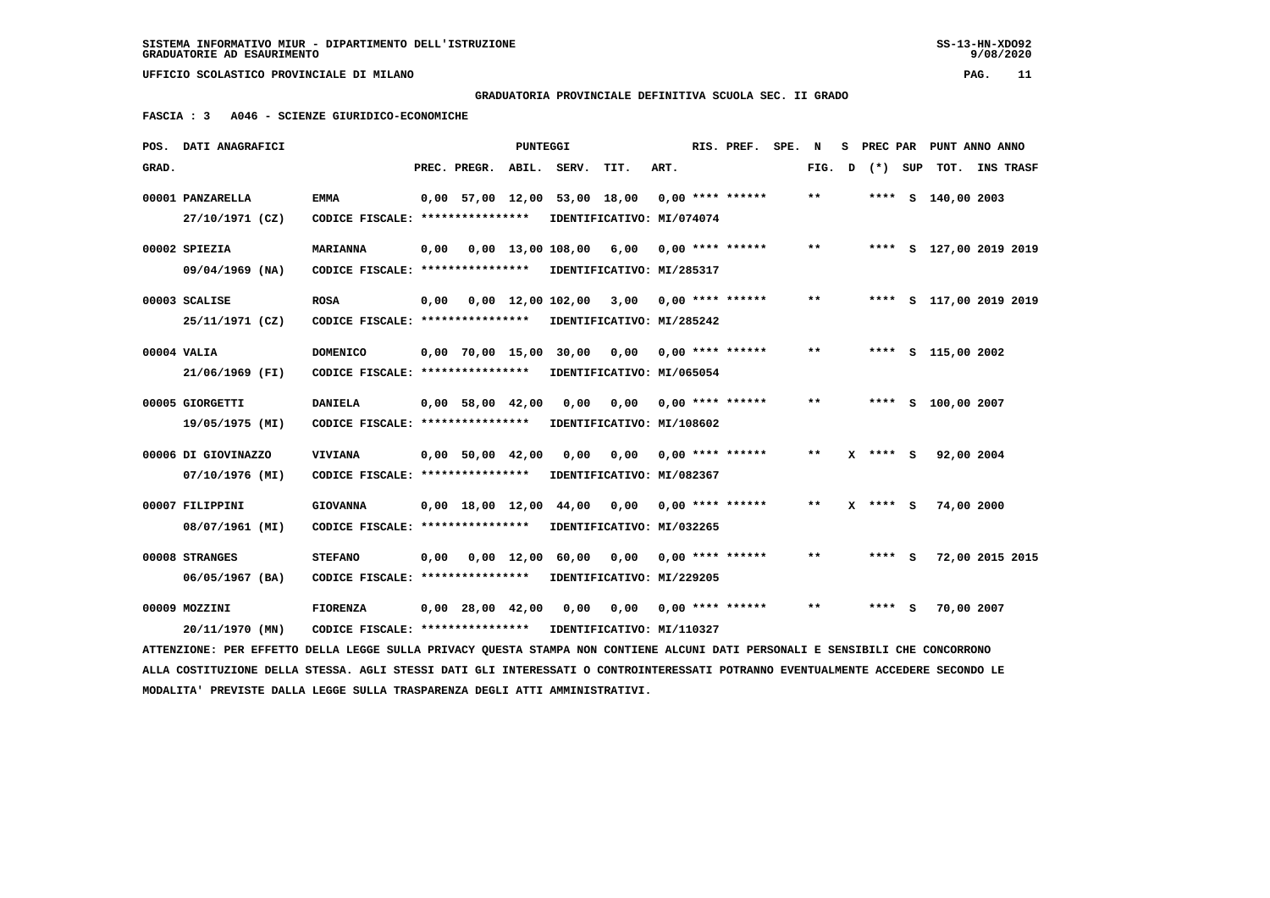## **GRADUATORIA PROVINCIALE DEFINITIVA SCUOLA SEC. II GRADO**

 **FASCIA : 3 A046 - SCIENZE GIURIDICO-ECONOMICHE**

|       | POS. DATI ANAGRAFICI                                                                                                            |                                                            |      |                                            | <b>PUNTEGGI</b> |                                         |                           |      | RIS. PREF.         | SPE. | N     | s | PREC PAR |     |                    | PUNT ANNO ANNO          |  |
|-------|---------------------------------------------------------------------------------------------------------------------------------|------------------------------------------------------------|------|--------------------------------------------|-----------------|-----------------------------------------|---------------------------|------|--------------------|------|-------|---|----------|-----|--------------------|-------------------------|--|
| GRAD. |                                                                                                                                 |                                                            |      | PREC. PREGR.                               | ABIL.           | SERV.                                   | TIT.                      | ART. |                    |      | FIG.  | D | $(*)$    | SUP | TOT.               | <b>INS TRASF</b>        |  |
|       | 00001 PANZARELLA                                                                                                                | <b>EMMA</b>                                                |      |                                            |                 | 0,00 57,00 12,00 53,00 18,00            |                           |      | $0,00$ **** ****** |      | $* *$ |   |          |     | **** S 140,00 2003 |                         |  |
|       | 27/10/1971 (CZ)                                                                                                                 | CODICE FISCALE: ****************                           |      |                                            |                 |                                         | IDENTIFICATIVO: MI/074074 |      |                    |      |       |   |          |     |                    |                         |  |
|       | 00002 SPIEZIA                                                                                                                   | <b>MARIANNA</b>                                            | 0,00 |                                            |                 | 0,00 13,00 108,00 6,00                  |                           |      | $0,00$ **** ****** |      | $* *$ |   |          |     |                    | **** S 127,00 2019 2019 |  |
|       | 09/04/1969 (NA)                                                                                                                 | CODICE FISCALE: **************** IDENTIFICATIVO: MI/285317 |      |                                            |                 |                                         |                           |      |                    |      |       |   |          |     |                    |                         |  |
|       | 00003 SCALISE                                                                                                                   | <b>ROSA</b>                                                | 0,00 |                                            |                 | 0,00 12,00 102,00 3,00 0,00 **** ****** |                           |      |                    |      | $***$ |   |          |     |                    | **** S 117,00 2019 2019 |  |
|       | 25/11/1971 (CZ)                                                                                                                 | CODICE FISCALE: ****************                           |      |                                            |                 |                                         | IDENTIFICATIVO: MI/285242 |      |                    |      |       |   |          |     |                    |                         |  |
|       | 00004 VALIA                                                                                                                     | <b>DOMENICO</b>                                            |      |                                            |                 | 0,00 70,00 15,00 30,00 0,00             |                           |      | $0,00$ **** ****** |      | **    |   |          |     | **** S 115,00 2002 |                         |  |
|       | 21/06/1969 (FI)                                                                                                                 | CODICE FISCALE: ****************                           |      |                                            |                 |                                         | IDENTIFICATIVO: MI/065054 |      |                    |      |       |   |          |     |                    |                         |  |
|       | 00005 GIORGETTI                                                                                                                 | <b>DANIELA</b>                                             |      | $0,00$ 58,00 42,00                         |                 | 0,00                                    | 0,00                      |      | $0.00$ **** ****** |      | **    |   |          |     | **** S 100,00 2007 |                         |  |
|       | 19/05/1975 (MI)                                                                                                                 | CODICE FISCALE: ****************                           |      |                                            |                 | IDENTIFICATIVO: MI/108602               |                           |      |                    |      |       |   |          |     |                    |                         |  |
|       | 00006 DI GIOVINAZZO                                                                                                             | <b>VIVIANA</b>                                             |      | $0,00$ 50,00 42,00                         |                 | 0,00                                    | 0,00                      |      | $0.00$ **** ****** |      | $* *$ |   | **** S   |     | 92,00 2004         |                         |  |
|       | 07/10/1976 (MI)                                                                                                                 | CODICE FISCALE: ****************                           |      |                                            |                 |                                         | IDENTIFICATIVO: MI/082367 |      |                    |      |       |   |          |     |                    |                         |  |
|       | 00007 FILIPPINI                                                                                                                 | <b>GIOVANNA</b>                                            |      | $0.00 \quad 18.00 \quad 12.00 \quad 44.00$ |                 |                                         | 0,00                      |      | $0.00$ **** ****** |      | $* *$ |   | X **** S |     | 74,00 2000         |                         |  |
|       | 08/07/1961 (MI)                                                                                                                 | CODICE FISCALE: ****************                           |      |                                            |                 |                                         | IDENTIFICATIVO: MI/032265 |      |                    |      |       |   |          |     |                    |                         |  |
|       | 00008 STRANGES                                                                                                                  | <b>STEFANO</b>                                             | 0,00 |                                            |                 | 0,00 12,00 60,00                        | 0,00                      |      | $0.00$ **** ****** |      | $* *$ |   | **** S   |     |                    | 72,00 2015 2015         |  |
|       | 06/05/1967 (BA)                                                                                                                 | CODICE FISCALE: ****************                           |      |                                            |                 |                                         | IDENTIFICATIVO: MI/229205 |      |                    |      |       |   |          |     |                    |                         |  |
|       | 00009 MOZZINI                                                                                                                   | <b>FIORENZA</b>                                            |      | $0,00$ 28,00 42,00                         |                 | 0,00                                    | 0,00                      |      | $0,00$ **** ****** |      | $***$ |   | **** S   |     | 70,00 2007         |                         |  |
|       | 20/11/1970 (MN)                                                                                                                 | CODICE FISCALE: ****************                           |      |                                            |                 |                                         | IDENTIFICATIVO: MI/110327 |      |                    |      |       |   |          |     |                    |                         |  |
|       | ATTENZIONE: PER EFFETTO DELLA LEGGE SULLA PRIVACY QUESTA STAMPA NON CONTIENE ALCUNI DATI PERSONALI E SENSIBILI CHE CONCORRONO   |                                                            |      |                                            |                 |                                         |                           |      |                    |      |       |   |          |     |                    |                         |  |
|       | ALLA COSTITUZIONE DELLA STESSA. AGLI STESSI DATI GLI INTERESSATI O CONTROINTERESSATI POTRANNO EVENTUALMENTE ACCEDERE SECONDO LE |                                                            |      |                                            |                 |                                         |                           |      |                    |      |       |   |          |     |                    |                         |  |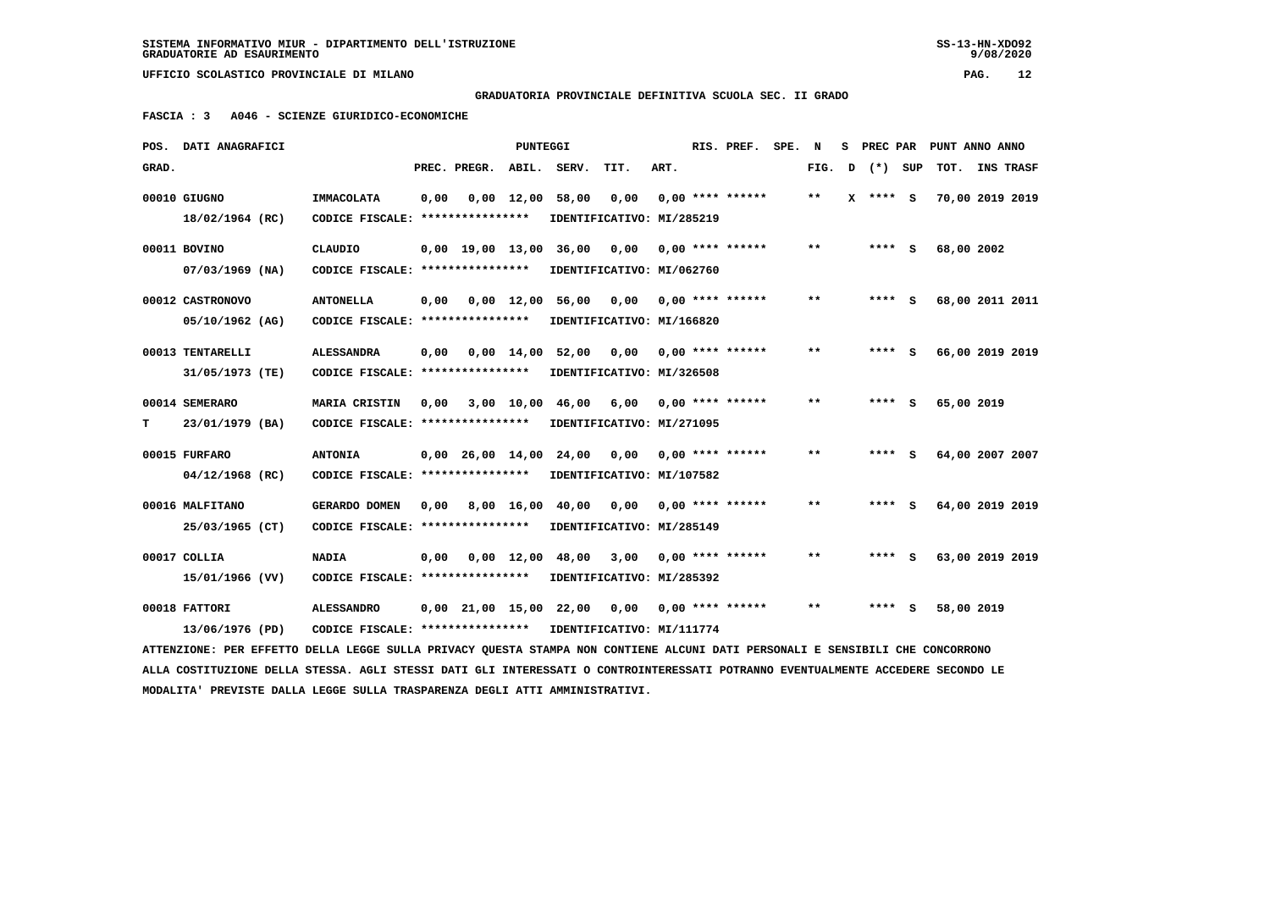**GRADUATORIA PROVINCIALE DEFINITIVA SCUOLA SEC. II GRADO**

 **FASCIA : 3 A046 - SCIENZE GIURIDICO-ECONOMICHE**

|       | POS. DATI ANAGRAFICI                                                                                                            |                                                            |      |                    | PUNTEGGI     |                                        |                              |      | RIS. PREF.                | SPE. | N      |          | S PREC PAR PUNT ANNO ANNO |  |
|-------|---------------------------------------------------------------------------------------------------------------------------------|------------------------------------------------------------|------|--------------------|--------------|----------------------------------------|------------------------------|------|---------------------------|------|--------|----------|---------------------------|--|
| GRAD. |                                                                                                                                 |                                                            |      | PREC. PREGR. ABIL. |              | SERV.                                  | TIT.                         | ART. |                           |      | FIG. D | (*) SUP  | TOT. INS TRASF            |  |
|       | 00010 GIUGNO                                                                                                                    | IMMACOLATA                                                 | 0.00 |                    |              | $0.00 \quad 12.00 \quad 58.00$         | 0.00                         |      | $0,00$ **** ******        |      | $* *$  | X **** S | 70,00 2019 2019           |  |
|       | 18/02/1964 (RC)                                                                                                                 | CODICE FISCALE: ****************                           |      |                    |              | IDENTIFICATIVO: MI/285219              |                              |      |                           |      |        |          |                           |  |
|       | 00011 BOVINO                                                                                                                    | CLAUDIO                                                    |      |                    |              | 0,00 19,00 13,00 36,00                 | 0,00                         |      | 0,00 **** ******          |      | **     | $***$ S  | 68,00 2002                |  |
|       | $07/03/1969$ (NA)                                                                                                               | CODICE FISCALE: *****************                          |      |                    |              | IDENTIFICATIVO: MI/062760              |                              |      |                           |      |        |          |                           |  |
|       | 00012 CASTRONOVO                                                                                                                | <b>ANTONELLA</b>                                           | 0,00 |                    |              | 0,00 12,00 56,00 0,00 0,00 **** ****** |                              |      |                           |      | $* *$  | $***$ S  | 68,00 2011 2011           |  |
|       | 05/10/1962 (AG)                                                                                                                 | CODICE FISCALE: ****************                           |      |                    |              | IDENTIFICATIVO: MI/166820              |                              |      |                           |      |        |          |                           |  |
|       | 00013 TENTARELLI                                                                                                                | <b>ALESSANDRA</b>                                          | 0,00 |                    | 0,00 14,00   | 52,00                                  | 0,00                         |      | 0,00 **** ******          |      | $* *$  | $***$ S  | 66,00 2019 2019           |  |
|       | 31/05/1973 (TE)                                                                                                                 | CODICE FISCALE: ****************                           |      |                    |              | IDENTIFICATIVO: MI/326508              |                              |      |                           |      |        |          |                           |  |
|       | 00014 SEMERARO                                                                                                                  | MARIA CRISTIN                                              | 0,00 |                    |              | 3,00 10,00 46,00                       |                              |      | $6,00$ 0,00 **** ******   |      | **     | **** S   | 65,00 2019                |  |
| т     | 23/01/1979 (BA)                                                                                                                 | CODICE FISCALE: ****************                           |      |                    |              | IDENTIFICATIVO: MI/271095              |                              |      |                           |      |        |          |                           |  |
|       | 00015 FURFARO                                                                                                                   | <b>ANTONIA</b>                                             |      | $0,00$ 26,00 14,00 |              |                                        | 24,00 0,00 0,00 **** ******* |      |                           |      | $* *$  | **** S   | 64,00 2007 2007           |  |
|       | 04/12/1968 (RC)                                                                                                                 | CODICE FISCALE: *****************                          |      |                    |              | IDENTIFICATIVO: MI/107582              |                              |      |                           |      |        |          |                           |  |
|       | 00016 MALFITANO                                                                                                                 | GERARDO DOMEN                                              |      |                    |              | 0,00 8,00 16,00 40,00                  |                              |      | $0,00$ $0,00$ **** ****** |      | $* *$  | **** S   | 64,00 2019 2019           |  |
|       | 25/03/1965 (CT)                                                                                                                 | CODICE FISCALE: ****************                           |      |                    |              | IDENTIFICATIVO: MI/285149              |                              |      |                           |      |        |          |                           |  |
|       | 00017 COLLIA                                                                                                                    | <b>NADIA</b>                                               | 0,00 |                    | $0,00$ 12,00 |                                        | 48,00 3,00                   |      | 0,00 **** ******          |      | $* *$  | **** S   | 63,00 2019 2019           |  |
|       | 15/01/1966 (VV)                                                                                                                 | CODICE FISCALE: ****************                           |      |                    |              | IDENTIFICATIVO: MI/285392              |                              |      |                           |      |        |          |                           |  |
|       | 00018 FATTORI                                                                                                                   | <b>ALESSANDRO</b>                                          |      |                    |              | 0,00 21,00 15,00 22,00                 |                              |      | $0,00$ $0,00$ **** ****** |      | $* *$  | **** S   | 58,00 2019                |  |
|       | 13/06/1976 (PD)                                                                                                                 | CODICE FISCALE: **************** IDENTIFICATIVO: MI/111774 |      |                    |              |                                        |                              |      |                           |      |        |          |                           |  |
|       | ATTENZIONE: PER EFFETTO DELLA LEGGE SULLA PRIVACY QUESTA STAMPA NON CONTIENE ALCUNI DATI PERSONALI E SENSIBILI CHE CONCORRONO   |                                                            |      |                    |              |                                        |                              |      |                           |      |        |          |                           |  |
|       | ALLA COSTITUZIONE DELLA STESSA. AGLI STESSI DATI GLI INTERESSATI O CONTROINTERESSATI POTRANNO EVENTUALMENTE ACCEDERE SECONDO LE |                                                            |      |                    |              |                                        |                              |      |                           |      |        |          |                           |  |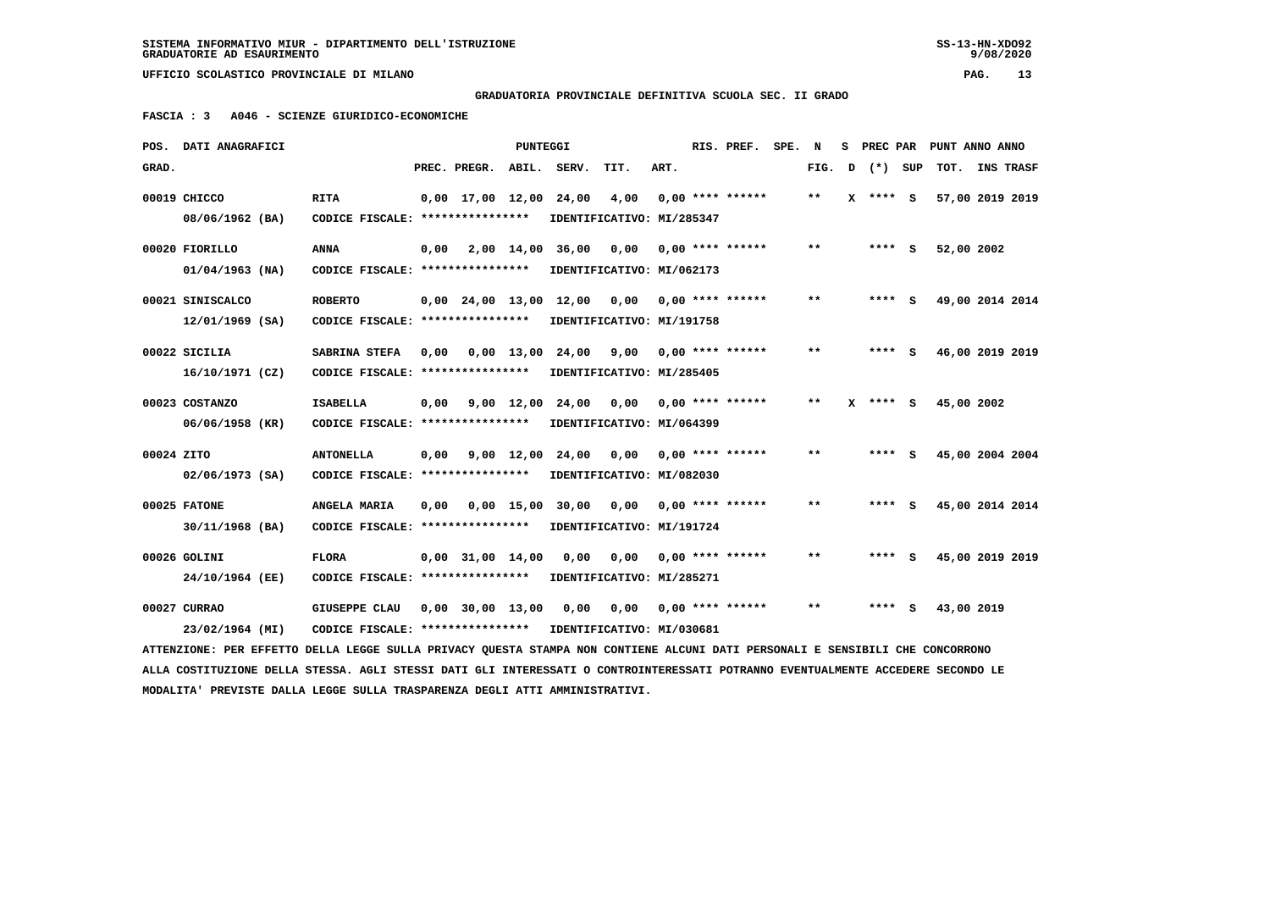**GRADUATORIA PROVINCIALE DEFINITIVA SCUOLA SEC. II GRADO**

 **FASCIA : 3 A046 - SCIENZE GIURIDICO-ECONOMICHE**

|            | POS. DATI ANAGRAFICI                                                                                                            |                                                            |      |                          | PUNTEGGI |                                                   |      |      | RIS. PREF.                | SPE. | N      | s | PREC PAR | PUNT ANNO ANNO  |  |
|------------|---------------------------------------------------------------------------------------------------------------------------------|------------------------------------------------------------|------|--------------------------|----------|---------------------------------------------------|------|------|---------------------------|------|--------|---|----------|-----------------|--|
| GRAD.      |                                                                                                                                 |                                                            |      | PREC. PREGR. ABIL. SERV. |          |                                                   | TIT. | ART. |                           |      | FIG. D |   | (*) SUP  | TOT. INS TRASF  |  |
|            | 00019 CHICCO                                                                                                                    | <b>RITA</b>                                                |      |                          |          | 0,00 17,00 12,00 24,00                            | 4,00 |      | $0.00$ **** ******        |      | $**$   | x | **** S   | 57,00 2019 2019 |  |
|            | 08/06/1962 (BA)                                                                                                                 | CODICE FISCALE: ****************                           |      |                          |          | IDENTIFICATIVO: MI/285347                         |      |      |                           |      |        |   |          |                 |  |
|            | 00020 FIORILLO                                                                                                                  | ANNA                                                       | 0,00 |                          |          | 2,00 14,00 36,00                                  |      |      | $0,00$ $0,00$ **** ****** |      | **     |   | $***$ S  | 52,00 2002      |  |
|            | $01/04/1963$ (NA)                                                                                                               | CODICE FISCALE: *****************                          |      |                          |          | IDENTIFICATIVO: MI/062173                         |      |      |                           |      |        |   |          |                 |  |
|            | 00021 SINISCALCO                                                                                                                | <b>ROBERTO</b>                                             |      |                          |          | $0,00$ 24,00 13,00 12,00 0,00 0,00 **** ******    |      |      |                           |      | $* *$  |   | $***$ S  | 49,00 2014 2014 |  |
|            | 12/01/1969 (SA)                                                                                                                 | CODICE FISCALE: *****************                          |      |                          |          | IDENTIFICATIVO: MI/191758                         |      |      |                           |      |        |   |          |                 |  |
|            | 00022 SICILIA                                                                                                                   | SABRINA STEFA                                              | 0,00 |                          |          | 0,00 13,00 24,00 9,00 0,00 **** ******            |      |      |                           |      | $* *$  |   | **** S   | 46,00 2019 2019 |  |
|            | 16/10/1971 (CZ)                                                                                                                 | CODICE FISCALE: *****************                          |      |                          |          | IDENTIFICATIVO: MI/285405                         |      |      |                           |      |        |   |          |                 |  |
|            | 00023 COSTANZO                                                                                                                  | <b>ISABELLA</b>                                            |      |                          |          | $0,00$ $9,00$ $12,00$ $24,00$ $0,00$ $0,00$ $***$ |      |      |                           |      | $* *$  | x | **** S   | 45,00 2002      |  |
|            | 06/06/1958 (KR)                                                                                                                 | CODICE FISCALE: ****************                           |      |                          |          | IDENTIFICATIVO: MI/064399                         |      |      |                           |      |        |   |          |                 |  |
| 00024 ZITO |                                                                                                                                 | <b>ANTONELLA</b>                                           | 0,00 |                          |          | 9,00 12,00 24,00 0,00 0,00 **** ******            |      |      |                           |      | $* *$  |   | **** S   | 45,00 2004 2004 |  |
|            | $02/06/1973$ (SA)                                                                                                               | CODICE FISCALE: *****************                          |      |                          |          | IDENTIFICATIVO: MI/082030                         |      |      |                           |      |        |   |          |                 |  |
|            | 00025 FATONE                                                                                                                    | ANGELA MARIA                                               |      |                          |          | 0,00 0,00 15,00 30,00                             |      |      | $0,00$ $0,00$ **** ****** |      | $* *$  |   | **** S   | 45,00 2014 2014 |  |
|            | 30/11/1968 (BA)                                                                                                                 | CODICE FISCALE: ****************                           |      |                          |          | IDENTIFICATIVO: MI/191724                         |      |      |                           |      |        |   |          |                 |  |
|            | 00026 GOLINI                                                                                                                    | <b>FLORA</b>                                               |      | $0,00$ 31,00 14,00       |          | 0.00                                              | 0.00 |      | $0.00$ **** ******        |      | $* *$  |   | **** S   | 45,00 2019 2019 |  |
|            | 24/10/1964 (EE)                                                                                                                 | CODICE FISCALE: *****************                          |      |                          |          | IDENTIFICATIVO: MI/285271                         |      |      |                           |      |        |   |          |                 |  |
|            | 00027 CURRAO                                                                                                                    | <b>GIUSEPPE CLAU</b>                                       |      |                          |          | 0,00 30,00 13,00 0,00                             |      |      | 0,00 0,00 **** ******     |      | **     |   | **** S   | 43,00 2019      |  |
|            | 23/02/1964 (MI)                                                                                                                 | CODICE FISCALE: **************** IDENTIFICATIVO: MI/030681 |      |                          |          |                                                   |      |      |                           |      |        |   |          |                 |  |
|            | ATTENZIONE: PER EFFETTO DELLA LEGGE SULLA PRIVACY QUESTA STAMPA NON CONTIENE ALCUNI DATI PERSONALI E SENSIBILI CHE CONCORRONO   |                                                            |      |                          |          |                                                   |      |      |                           |      |        |   |          |                 |  |
|            | ALLA COSTITUZIONE DELLA STESSA. AGLI STESSI DATI GLI INTERESSATI O CONTROINTERESSATI POTRANNO EVENTUALMENTE ACCEDERE SECONDO LE |                                                            |      |                          |          |                                                   |      |      |                           |      |        |   |          |                 |  |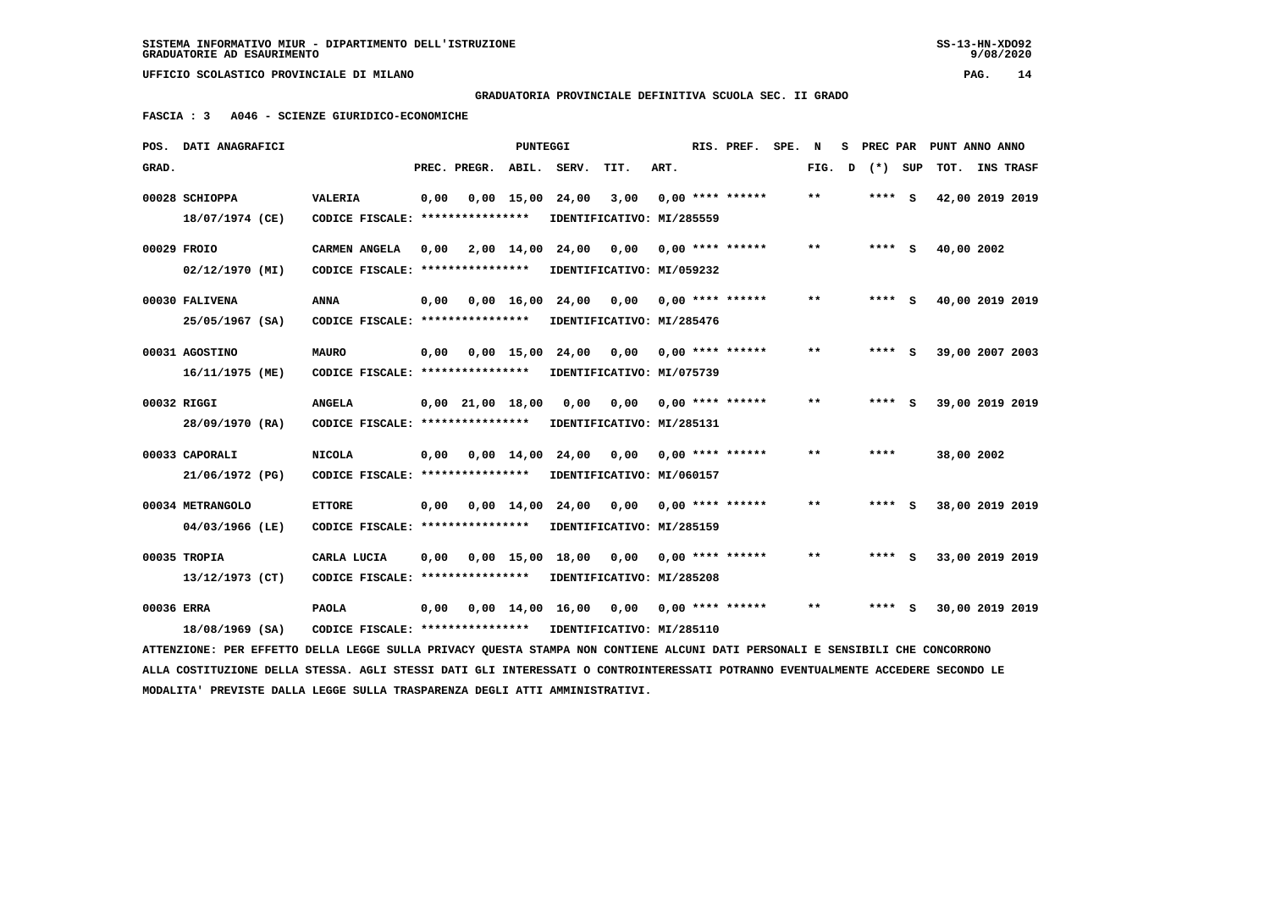**GRADUATORIA PROVINCIALE DEFINITIVA SCUOLA SEC. II GRADO**

 **FASCIA : 3 A046 - SCIENZE GIURIDICO-ECONOMICHE**

|            | POS. DATI ANAGRAFICI                                                                                                            |                                                            |      |                    | PUNTEGGI |                                           |      |      | RIS. PREF.                | SPE. | N      | S PREC PAR | PUNT ANNO ANNO  |  |
|------------|---------------------------------------------------------------------------------------------------------------------------------|------------------------------------------------------------|------|--------------------|----------|-------------------------------------------|------|------|---------------------------|------|--------|------------|-----------------|--|
| GRAD.      |                                                                                                                                 |                                                            |      | PREC. PREGR. ABIL. |          | SERV.                                     | TIT. | ART. |                           |      | FIG. D | (*) SUP    | TOT. INS TRASF  |  |
|            | 00028 SCHIOPPA                                                                                                                  | <b>VALERIA</b>                                             | 0,00 |                    |          | $0,00$ 15,00 24,00                        | 3,00 |      | $0.00$ **** ******        |      | $***$  | **** S     | 42,00 2019 2019 |  |
|            | 18/07/1974 (CE)                                                                                                                 | CODICE FISCALE: *****************                          |      |                    |          | IDENTIFICATIVO: MI/285559                 |      |      |                           |      |        |            |                 |  |
|            | 00029 FROIO                                                                                                                     | <b>CARMEN ANGELA</b>                                       | 0.00 |                    |          | 2,00 14,00 24,00                          |      |      | $0.00$ $0.00$ **** ****** |      | $* *$  | $***$ S    | 40,00 2002      |  |
|            | 02/12/1970 (MI)                                                                                                                 | CODICE FISCALE: *****************                          |      |                    |          | IDENTIFICATIVO: MI/059232                 |      |      |                           |      |        |            |                 |  |
|            | 00030 FALIVENA                                                                                                                  | <b>ANNA</b>                                                | 0,00 |                    |          | 0,00 16,00 24,00 0,00 0,00 **** ******    |      |      |                           |      | $* *$  | **** S     | 40,00 2019 2019 |  |
|            | 25/05/1967 (SA)                                                                                                                 | CODICE FISCALE: ****************                           |      |                    |          | IDENTIFICATIVO: MI/285476                 |      |      |                           |      |        |            |                 |  |
|            | 00031 AGOSTINO                                                                                                                  | <b>MAURO</b>                                               | 0,00 |                    |          | 0,00 15,00 24,00 0,00 0,00 **** ******    |      |      |                           |      | **     | $***$ S    | 39,00 2007 2003 |  |
|            | 16/11/1975 (ME)                                                                                                                 | CODICE FISCALE: *****************                          |      |                    |          | IDENTIFICATIVO: MI/075739                 |      |      |                           |      |        |            |                 |  |
|            | 00032 RIGGI                                                                                                                     | <b>ANGELA</b>                                              |      |                    |          | $0.00 \quad 21.00 \quad 18.00 \quad 0.00$ |      |      | $0,00$ $0,00$ **** ****** |      | $* *$  | **** S     | 39,00 2019 2019 |  |
|            | 28/09/1970 (RA)                                                                                                                 | CODICE FISCALE: ****************                           |      |                    |          | IDENTIFICATIVO: MI/285131                 |      |      |                           |      |        |            |                 |  |
|            | 00033 CAPORALI                                                                                                                  | <b>NICOLA</b>                                              | 0,00 |                    |          | $0,00$ 14,00 24,00 0,00 0,00 **** ******  |      |      |                           |      | $***$  | ****       | 38,00 2002      |  |
|            | 21/06/1972 (PG)                                                                                                                 | CODICE FISCALE: *****************                          |      |                    |          | IDENTIFICATIVO: MI/060157                 |      |      |                           |      |        |            |                 |  |
|            | 00034 METRANGOLO                                                                                                                | <b>ETTORE</b>                                              | 0.00 |                    |          | 0,00 14,00 24,00 0,00 0,00 **** ******    |      |      |                           |      | $* *$  | $***$ S    | 38,00 2019 2019 |  |
|            | 04/03/1966 (LE)                                                                                                                 | CODICE FISCALE: *****************                          |      |                    |          | IDENTIFICATIVO: MI/285159                 |      |      |                           |      |        |            |                 |  |
|            | 00035 TROPIA                                                                                                                    | CARLA LUCIA                                                | 0,00 |                    |          | 0,00 15,00 18,00                          |      |      | $0,00$ 0,00 **** ******   |      | $***$  | **** S     | 33,00 2019 2019 |  |
|            | 13/12/1973 (CT)                                                                                                                 | CODICE FISCALE: *****************                          |      |                    |          | IDENTIFICATIVO: MI/285208                 |      |      |                           |      |        |            |                 |  |
| 00036 ERRA |                                                                                                                                 | <b>PAOLA</b>                                               | 0,00 |                    |          | 0,00 14,00 16,00 0,00 0,00 **** ******    |      |      |                           |      | $***$  | $***$ S    | 30,00 2019 2019 |  |
|            | 18/08/1969 (SA)                                                                                                                 | CODICE FISCALE: **************** IDENTIFICATIVO: MI/285110 |      |                    |          |                                           |      |      |                           |      |        |            |                 |  |
|            | ATTENZIONE: PER EFFETTO DELLA LEGGE SULLA PRIVACY QUESTA STAMPA NON CONTIENE ALCUNI DATI PERSONALI E SENSIBILI CHE CONCORRONO   |                                                            |      |                    |          |                                           |      |      |                           |      |        |            |                 |  |
|            | ALLA COSTITUZIONE DELLA STESSA. AGLI STESSI DATI GLI INTERESSATI O CONTROINTERESSATI POTRANNO EVENTUALMENTE ACCEDERE SECONDO LE |                                                            |      |                    |          |                                           |      |      |                           |      |        |            |                 |  |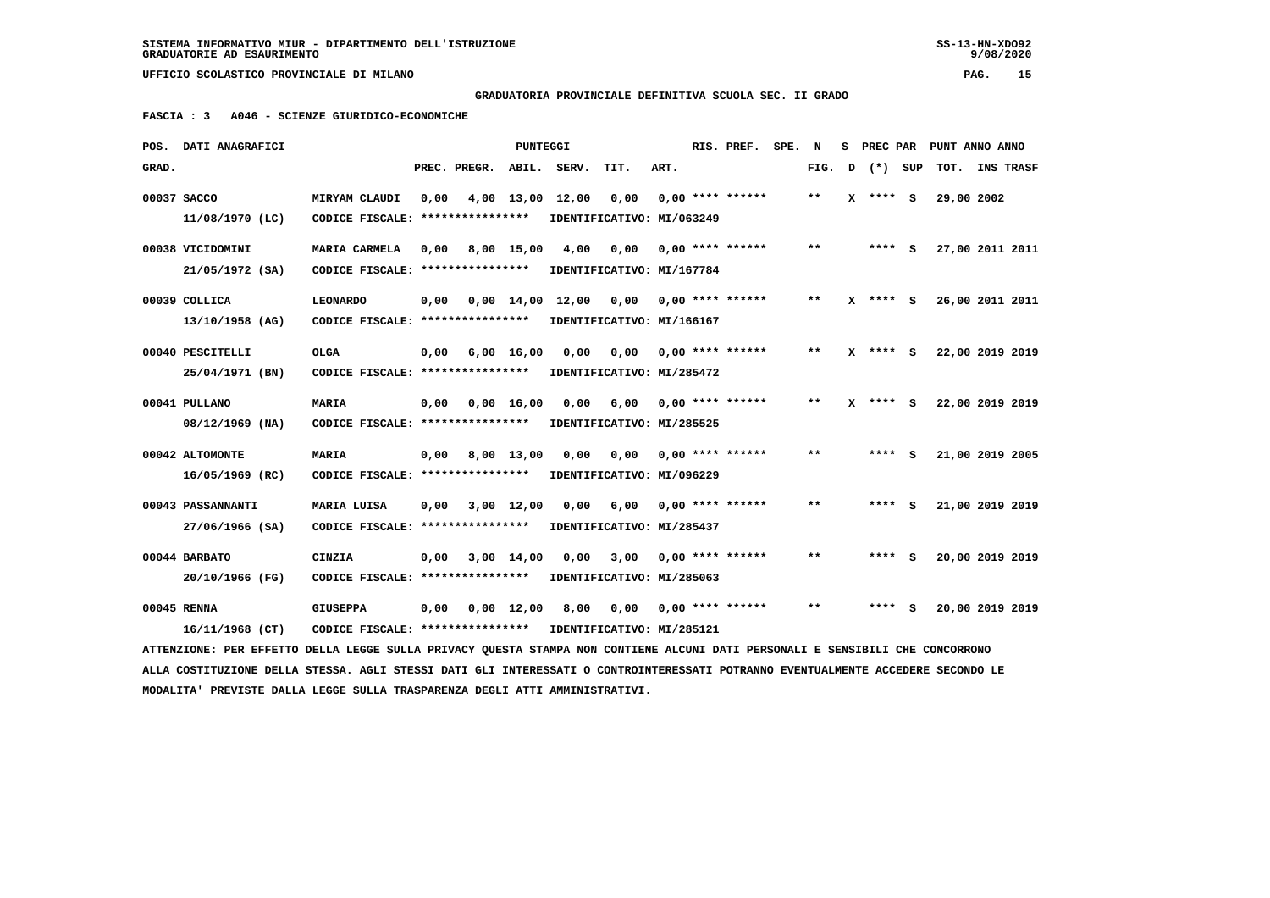$9/08/2020$ 

 **UFFICIO SCOLASTICO PROVINCIALE DI MILANO PAG. 15**

## **GRADUATORIA PROVINCIALE DEFINITIVA SCUOLA SEC. II GRADO**

 **FASCIA : 3 A046 - SCIENZE GIURIDICO-ECONOMICHE**

| POS.  | <b>DATI ANAGRAFICI</b>                                                                                                          |                                  |      |              | PUNTEGGI           |                                |      |      | RIS. PREF.         | SPE. | N     | s | PREC PAR   |     | PUNT ANNO ANNO  |  |
|-------|---------------------------------------------------------------------------------------------------------------------------------|----------------------------------|------|--------------|--------------------|--------------------------------|------|------|--------------------|------|-------|---|------------|-----|-----------------|--|
| GRAD. |                                                                                                                                 |                                  |      | PREC. PREGR. |                    | ABIL. SERV.                    | TIT. | ART. |                    |      | FIG.  | D | $(*)$      | SUP | TOT. INS TRASF  |  |
|       | 00037 SACCO                                                                                                                     | MIRYAM CLAUDI                    | 0,00 |              |                    | 4,00 13,00 12,00               | 0,00 |      | $0.00$ **** ****** |      | $***$ | x | $***$ S    |     | 29,00 2002      |  |
|       | 11/08/1970 (LC)                                                                                                                 | CODICE FISCALE: **************** |      |              |                    | IDENTIFICATIVO: MI/063249      |      |      |                    |      |       |   |            |     |                 |  |
|       | 00038 VICIDOMINI                                                                                                                | MARIA CARMELA                    | 0.00 |              | 8,00 15,00         | 4,00                           | 0.00 |      | $0.00$ **** ****** |      | $* *$ |   | $***$ S    |     | 27,00 2011 2011 |  |
|       | $21/05/1972$ (SA)                                                                                                               | CODICE FISCALE: **************** |      |              |                    | IDENTIFICATIVO: MI/167784      |      |      |                    |      |       |   |            |     |                 |  |
|       | 00039 COLLICA                                                                                                                   | <b>LEONARDO</b>                  | 0.00 |              |                    | $0.00 \quad 14.00 \quad 12.00$ | 0,00 |      | $0.00$ **** ****** |      | $**$  | x | **** S     |     | 26,00 2011 2011 |  |
|       | $13/10/1958$ (AG)                                                                                                               | CODICE FISCALE: **************** |      |              |                    | IDENTIFICATIVO: MI/166167      |      |      |                    |      |       |   |            |     |                 |  |
|       | 00040 PESCITELLI                                                                                                                | <b>OLGA</b>                      | 0.00 |              | $6,00 \quad 16,00$ | 0.00                           | 0.00 |      | $0.00$ **** ****** |      | $***$ |   | $X$ **** S |     | 22,00 2019 2019 |  |
|       | 25/04/1971 (BN)                                                                                                                 | CODICE FISCALE: **************** |      |              |                    | IDENTIFICATIVO: MI/285472      |      |      |                    |      |       |   |            |     |                 |  |
|       | 00041 PULLANO                                                                                                                   | <b>MARIA</b>                     | 0.00 |              | 0.00 16.00         | 0.00                           | 6,00 |      | $0.00$ **** ****** |      | $**$  |   | X **** S   |     | 22,00 2019 2019 |  |
|       | 08/12/1969 (NA)                                                                                                                 | CODICE FISCALE: **************** |      |              |                    | IDENTIFICATIVO: MI/285525      |      |      |                    |      |       |   |            |     |                 |  |
|       | 00042 ALTOMONTE                                                                                                                 | <b>MARIA</b>                     | 0,00 |              | 8,00 13,00         | 0,00                           | 0,00 |      | $0.00$ **** ****** |      | $* *$ |   | **** S     |     | 21,00 2019 2005 |  |
|       | $16/05/1969$ (RC)                                                                                                               | CODICE FISCALE: **************** |      |              |                    | IDENTIFICATIVO: MI/096229      |      |      |                    |      |       |   |            |     |                 |  |
|       | 00043 PASSANNANTI                                                                                                               | MARIA LUISA                      | 0,00 |              | 3,00 12,00         | 0,00                           | 6,00 |      | $0.00$ **** ****** |      | $***$ |   | **** S     |     | 21,00 2019 2019 |  |
|       | 27/06/1966 (SA)                                                                                                                 | CODICE FISCALE: **************** |      |              |                    | IDENTIFICATIVO: MI/285437      |      |      |                    |      |       |   |            |     |                 |  |
|       |                                                                                                                                 |                                  |      |              |                    |                                |      |      |                    |      |       |   |            |     |                 |  |
|       | 00044 BARBATO                                                                                                                   | <b>CINZIA</b>                    | 0,00 |              | $3,00$ 14,00       | 0,00                           | 3,00 |      | $0.00$ **** ****** |      | $* *$ |   | **** S     |     | 20,00 2019 2019 |  |
|       | 20/10/1966 (FG)                                                                                                                 | CODICE FISCALE: **************** |      |              |                    | IDENTIFICATIVO: MI/285063      |      |      |                    |      |       |   |            |     |                 |  |
|       | 00045 RENNA                                                                                                                     | <b>GIUSEPPA</b>                  | 0,00 |              | $0,00 \quad 12,00$ | 8,00                           | 0,00 |      | $0.00$ **** ****** |      | $***$ |   |            | S   | 20,00 2019 2019 |  |
|       | $16/11/1968$ (CT)                                                                                                               | CODICE FISCALE: **************** |      |              |                    | IDENTIFICATIVO: MI/285121      |      |      |                    |      |       |   |            |     |                 |  |
|       | ATTENZIONE: PER EFFETTO DELLA LEGGE SULLA PRIVACY QUESTA STAMPA NON CONTIENE ALCUNI DATI PERSONALI E SENSIBILI CHE CONCORRONO   |                                  |      |              |                    |                                |      |      |                    |      |       |   |            |     |                 |  |
|       | ALLA COSTITUZIONE DELLA STESSA. AGLI STESSI DATI GLI INTERESSATI O CONTROINTERESSATI POTRANNO EVENTUALMENTE ACCEDERE SECONDO LE |                                  |      |              |                    |                                |      |      |                    |      |       |   |            |     |                 |  |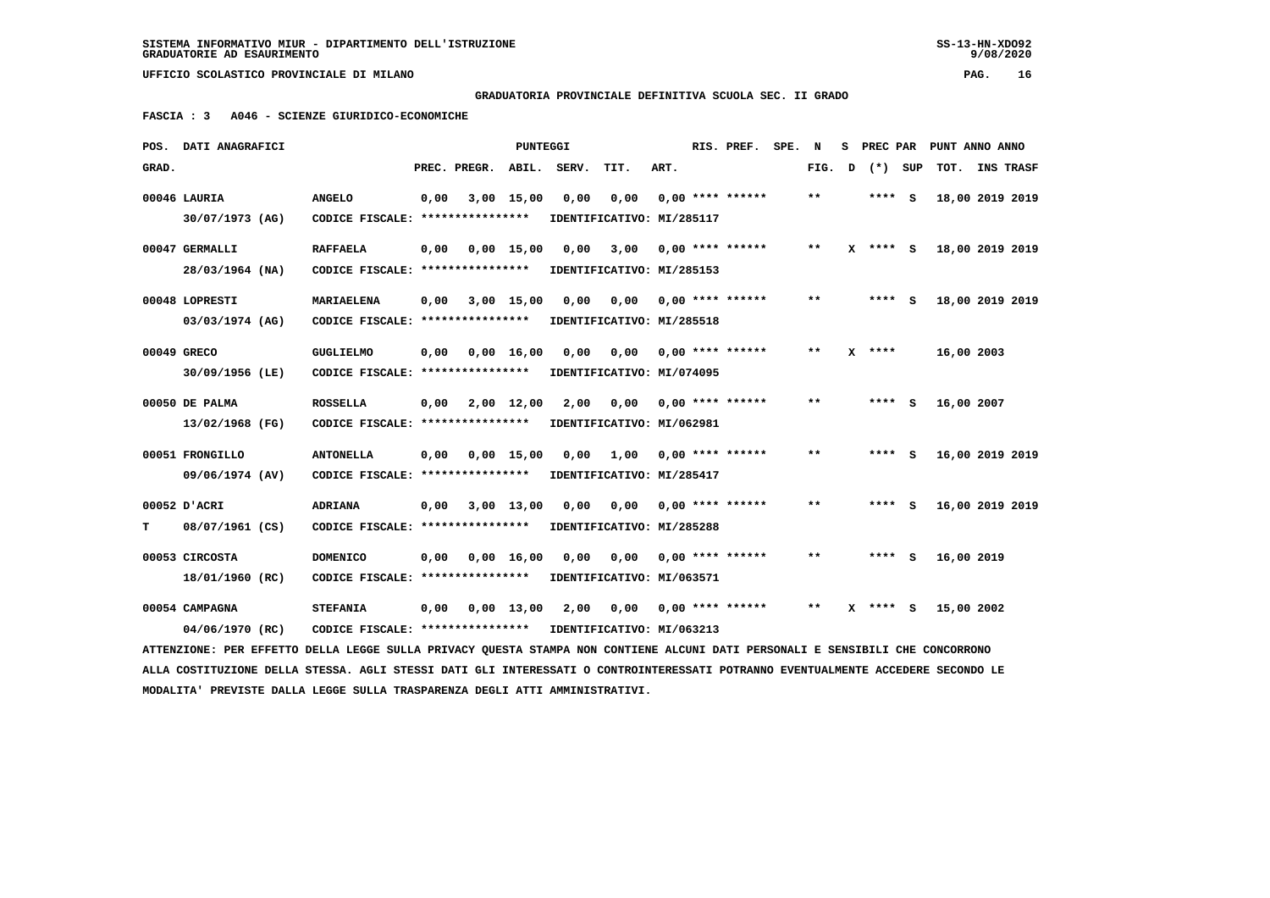## **GRADUATORIA PROVINCIALE DEFINITIVA SCUOLA SEC. II GRADO**

 **FASCIA : 3 A046 - SCIENZE GIURIDICO-ECONOMICHE**

|       | POS. DATI ANAGRAFICI                                                                                                            |                                  |      |                    | PUNTEGGI           |       |                           |      | RIS. PREF.                | SPE. | N            |   |            |         |            | S PREC PAR PUNT ANNO ANNO |
|-------|---------------------------------------------------------------------------------------------------------------------------------|----------------------------------|------|--------------------|--------------------|-------|---------------------------|------|---------------------------|------|--------------|---|------------|---------|------------|---------------------------|
| GRAD. |                                                                                                                                 |                                  |      | PREC. PREGR. ABIL. |                    | SERV. | TIT.                      | ART. |                           |      | FIG.         | D |            | (*) SUP |            | TOT. INS TRASF            |
|       | 00046 LAURIA                                                                                                                    | <b>ANGELO</b>                    | 0,00 |                    | $3,00$ 15,00       | 0,00  | 0,00                      |      | $0.00$ **** ******        |      | $***$        |   | **** S     |         |            | 18,00 2019 2019           |
|       | 30/07/1973 (AG)                                                                                                                 | CODICE FISCALE: **************** |      |                    |                    |       | IDENTIFICATIVO: MI/285117 |      |                           |      |              |   |            |         |            |                           |
|       | 00047 GERMALLI                                                                                                                  | <b>RAFFAELA</b>                  | 0,00 |                    | $0.00$ 15.00       | 0.00  | 3,00                      |      | $0.00$ **** ******        |      | $***$        |   | $X$ **** S |         |            | 18,00 2019 2019           |
|       | 28/03/1964 (NA)                                                                                                                 | CODICE FISCALE: **************** |      |                    |                    |       | IDENTIFICATIVO: MI/285153 |      |                           |      |              |   |            |         |            |                           |
|       | 00048 LOPRESTI                                                                                                                  | <b>MARIAELENA</b>                | 0,00 |                    | 3,00 15,00         | 0,00  |                           |      | $0,00$ 0,00 **** ******   |      | **           |   | **** S     |         |            | 18,00 2019 2019           |
|       | 03/03/1974 (AG)                                                                                                                 | CODICE FISCALE: **************** |      |                    |                    |       | IDENTIFICATIVO: MI/285518 |      |                           |      |              |   |            |         |            |                           |
|       | 00049 GRECO                                                                                                                     | <b>GUGLIELMO</b>                 | 0,00 |                    | $0,00 \quad 16,00$ | 0.00  | 0,00                      |      | 0,00 **** ******          |      | $\star\star$ |   | $X$ ****   |         | 16,00 2003 |                           |
|       | 30/09/1956 (LE)                                                                                                                 | CODICE FISCALE: **************** |      |                    |                    |       | IDENTIFICATIVO: MI/074095 |      |                           |      |              |   |            |         |            |                           |
|       | 00050 DE PALMA                                                                                                                  | <b>ROSSELLA</b>                  | 0,00 |                    | 2,00 12,00         | 2,00  |                           |      | $0,00$ $0,00$ **** ****** |      | $* *$        |   | $***$ S    |         | 16,00 2007 |                           |
|       | 13/02/1968 (FG)                                                                                                                 | CODICE FISCALE: **************** |      |                    |                    |       | IDENTIFICATIVO: MI/062981 |      |                           |      |              |   |            |         |            |                           |
|       | 00051 FRONGILLO                                                                                                                 | <b>ANTONELLA</b>                 | 0,00 |                    | $0,00$ 15,00       |       | $0,00$ 1,00               |      | $0,00$ **** ******        |      | $* *$        |   | **** S     |         |            | 16,00 2019 2019           |
|       | 09/06/1974 (AV)                                                                                                                 | CODICE FISCALE: **************** |      |                    |                    |       | IDENTIFICATIVO: MI/285417 |      |                           |      |              |   |            |         |            |                           |
|       | 00052 D'ACRI                                                                                                                    | <b>ADRIANA</b>                   | 0,00 |                    | 3,00 13,00         | 0,00  | 0,00                      |      | $0.00$ **** ******        |      | $* *$        |   | **** S     |         |            | 16,00 2019 2019           |
| т     | 08/07/1961 (CS)                                                                                                                 | CODICE FISCALE: **************** |      |                    |                    |       | IDENTIFICATIVO: MI/285288 |      |                           |      |              |   |            |         |            |                           |
|       | 00053 CIRCOSTA                                                                                                                  | <b>DOMENICO</b>                  | 0,00 |                    | $0,00 \quad 16,00$ | 0,00  | 0,00                      |      | $0.00$ **** ******        |      | **           |   | $***$ S    |         | 16,00 2019 |                           |
|       | 18/01/1960 (RC)                                                                                                                 | CODICE FISCALE: **************** |      |                    |                    |       | IDENTIFICATIVO: MI/063571 |      |                           |      |              |   |            |         |            |                           |
|       | 00054 CAMPAGNA                                                                                                                  | <b>STEFANIA</b>                  | 0,00 |                    | $0,00 \quad 13,00$ | 2,00  | 0,00                      |      | $0,00$ **** ******        |      | $* *$        |   | $X$ **** S |         | 15,00 2002 |                           |
|       | 04/06/1970 (RC)                                                                                                                 | CODICE FISCALE: **************** |      |                    |                    |       | IDENTIFICATIVO: MI/063213 |      |                           |      |              |   |            |         |            |                           |
|       | ATTENZIONE: PER EFFETTO DELLA LEGGE SULLA PRIVACY OUESTA STAMPA NON CONTIENE ALCUNI DATI PERSONALI E SENSIBILI CHE CONCORRONO   |                                  |      |                    |                    |       |                           |      |                           |      |              |   |            |         |            |                           |
|       | ALLA COSTITUZIONE DELLA STESSA. AGLI STESSI DATI GLI INTERESSATI O CONTROINTERESSATI POTRANNO EVENTUALMENTE ACCEDERE SECONDO LE |                                  |      |                    |                    |       |                           |      |                           |      |              |   |            |         |            |                           |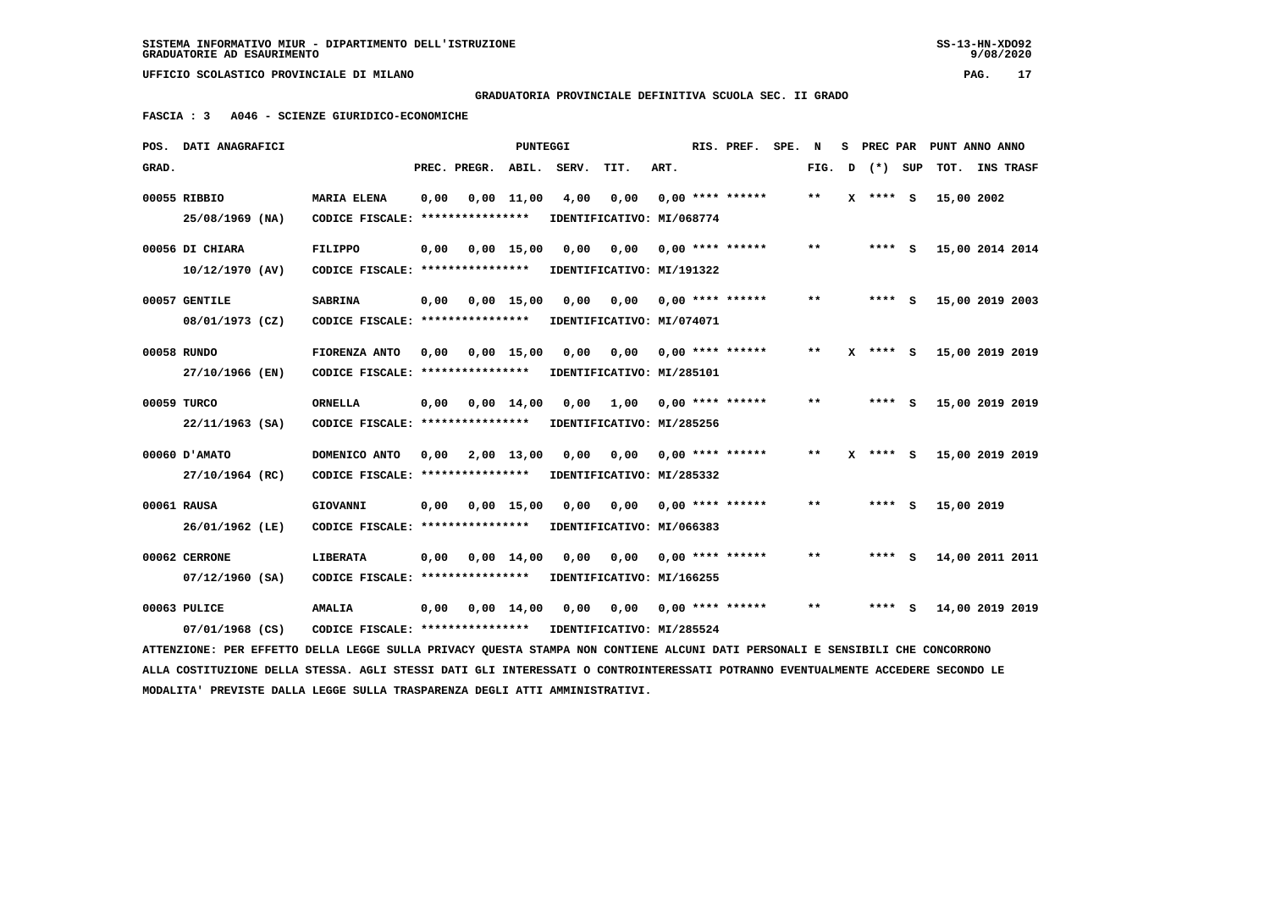$9/08/2020$ 

 **UFFICIO SCOLASTICO PROVINCIALE DI MILANO PAG. 17**

 **GRADUATORIA PROVINCIALE DEFINITIVA SCUOLA SEC. II GRADO**

 **FASCIA : 3 A046 - SCIENZE GIURIDICO-ECONOMICHE**

|       | POS. DATI ANAGRAFICI                                                                                                            |                                                            |      |                              | PUNTEGGI |                                                              |                                        |      | RIS. PREF.                | SPE. N |       |   | S PREC PAR | PUNT ANNO ANNO  |           |  |
|-------|---------------------------------------------------------------------------------------------------------------------------------|------------------------------------------------------------|------|------------------------------|----------|--------------------------------------------------------------|----------------------------------------|------|---------------------------|--------|-------|---|------------|-----------------|-----------|--|
| GRAD. |                                                                                                                                 |                                                            |      | PREC. PREGR.                 | ABIL.    | SERV.                                                        | TIT.                                   | ART. |                           |        | FIG.  | D | (*) SUP    | TOT.            | INS TRASF |  |
|       | 00055 RIBBIO                                                                                                                    | <b>MARIA ELENA</b>                                         | 0,00 | 0,00 11,00                   |          | 4,00                                                         | 0,00                                   |      | $0.00$ **** ******        |        | $* *$ | x | **** S     | 15,00 2002      |           |  |
|       | 25/08/1969 (NA)                                                                                                                 | CODICE FISCALE: *****************                          |      |                              |          | IDENTIFICATIVO: MI/068774                                    |                                        |      |                           |        |       |   |            |                 |           |  |
|       | 00056 DI CHIARA                                                                                                                 | FILIPPO                                                    |      | 0,00 0,00 15,00              |          | 0,00                                                         |                                        |      |                           |        | $* *$ |   | **** S     | 15,00 2014 2014 |           |  |
|       | 10/12/1970 (AV)                                                                                                                 | CODICE FISCALE: **************** IDENTIFICATIVO: MI/191322 |      |                              |          |                                                              |                                        |      |                           |        |       |   |            |                 |           |  |
|       |                                                                                                                                 |                                                            |      |                              |          |                                                              |                                        |      |                           |        | $* *$ |   |            |                 |           |  |
|       | 00057 GENTILE                                                                                                                   | <b>SABRINA</b>                                             |      |                              |          | $0,00$ $0,00$ $15,00$ $0,00$ $0,00$ $0,00$ $***$ **** ****** |                                        |      |                           |        |       |   | **** S     | 15,00 2019 2003 |           |  |
|       | 08/01/1973 (CZ)                                                                                                                 | CODICE FISCALE: *****************                          |      |                              |          | IDENTIFICATIVO: MI/074071                                    |                                        |      |                           |        |       |   |            |                 |           |  |
|       | 00058 RUNDO                                                                                                                     | FIORENZA ANTO                                              | 0.00 | 0,00 15,00                   |          | 0,00                                                         |                                        |      |                           |        | $***$ |   | $X$ **** S | 15,00 2019 2019 |           |  |
|       | 27/10/1966 (EN)                                                                                                                 | CODICE FISCALE: **************** IDENTIFICATIVO: MI/285101 |      |                              |          |                                                              |                                        |      |                           |        |       |   |            |                 |           |  |
|       | 00059 TURCO                                                                                                                     | <b>ORNELLA</b>                                             |      |                              |          |                                                              | 1,00 0,00 **** ******                  |      |                           |        | $***$ |   | **** S     | 15,00 2019 2019 |           |  |
|       |                                                                                                                                 |                                                            |      | $0,00$ $0,00$ $14,00$ $0,00$ |          |                                                              |                                        |      |                           |        |       |   |            |                 |           |  |
|       | $22/11/1963$ (SA)                                                                                                               | CODICE FISCALE: ****************                           |      |                              |          | IDENTIFICATIVO: MI/285256                                    |                                        |      |                           |        |       |   |            |                 |           |  |
|       | 00060 D'AMATO                                                                                                                   | DOMENICO ANTO                                              | 0,00 | 2,00 13,00                   |          |                                                              | $0,00$ $0,00$ $0,00$ $***$ **** ****** |      |                           |        | $* *$ | x | **** S     | 15,00 2019 2019 |           |  |
|       | 27/10/1964 (RC)                                                                                                                 | CODICE FISCALE: **************** IDENTIFICATIVO: MI/285332 |      |                              |          |                                                              |                                        |      |                           |        |       |   |            |                 |           |  |
|       |                                                                                                                                 |                                                            |      |                              |          |                                                              |                                        |      |                           |        | $**$  |   |            |                 |           |  |
|       | 00061 RAUSA                                                                                                                     | GIOVANNI                                                   |      | 0,00 0,00 15,00              |          | 0,00                                                         |                                        |      | $0,00$ $0,00$ **** ****** |        |       |   | **** S     | 15,00 2019      |           |  |
|       | 26/01/1962 (LE)                                                                                                                 | CODICE FISCALE: ****************                           |      |                              |          | IDENTIFICATIVO: MI/066383                                    |                                        |      |                           |        |       |   |            |                 |           |  |
|       | 00062 CERRONE                                                                                                                   | <b>LIBERATA</b>                                            |      | $0,00$ $0,00$ $14,00$        |          | 0,00                                                         |                                        |      | $0,00$ $0,00$ **** ****** |        | $* *$ |   | **** S     | 14,00 2011 2011 |           |  |
|       | 07/12/1960 (SA)                                                                                                                 | CODICE FISCALE: ****************                           |      |                              |          | IDENTIFICATIVO: MI/166255                                    |                                        |      |                           |        |       |   |            |                 |           |  |
|       | 00063 PULICE                                                                                                                    | <b>AMALIA</b>                                              |      | 0,00 0,00 14,00              |          | 0,00                                                         |                                        |      |                           |        | $* *$ |   | **** S     | 14,00 2019 2019 |           |  |
|       | 07/01/1968 (CS)                                                                                                                 | CODICE FISCALE: **************** IDENTIFICATIVO: MI/285524 |      |                              |          |                                                              |                                        |      |                           |        |       |   |            |                 |           |  |
|       |                                                                                                                                 |                                                            |      |                              |          |                                                              |                                        |      |                           |        |       |   |            |                 |           |  |
|       | ATTENZIONE: PER EFFETTO DELLA LEGGE SULLA PRIVACY QUESTA STAMPA NON CONTIENE ALCUNI DATI PERSONALI E SENSIBILI CHE CONCORRONO   |                                                            |      |                              |          |                                                              |                                        |      |                           |        |       |   |            |                 |           |  |
|       | ALLA COSTITUZIONE DELLA STESSA. AGLI STESSI DATI GLI INTERESSATI O CONTROINTERESSATI POTRANNO EVENTUALMENTE ACCEDERE SECONDO LE |                                                            |      |                              |          |                                                              |                                        |      |                           |        |       |   |            |                 |           |  |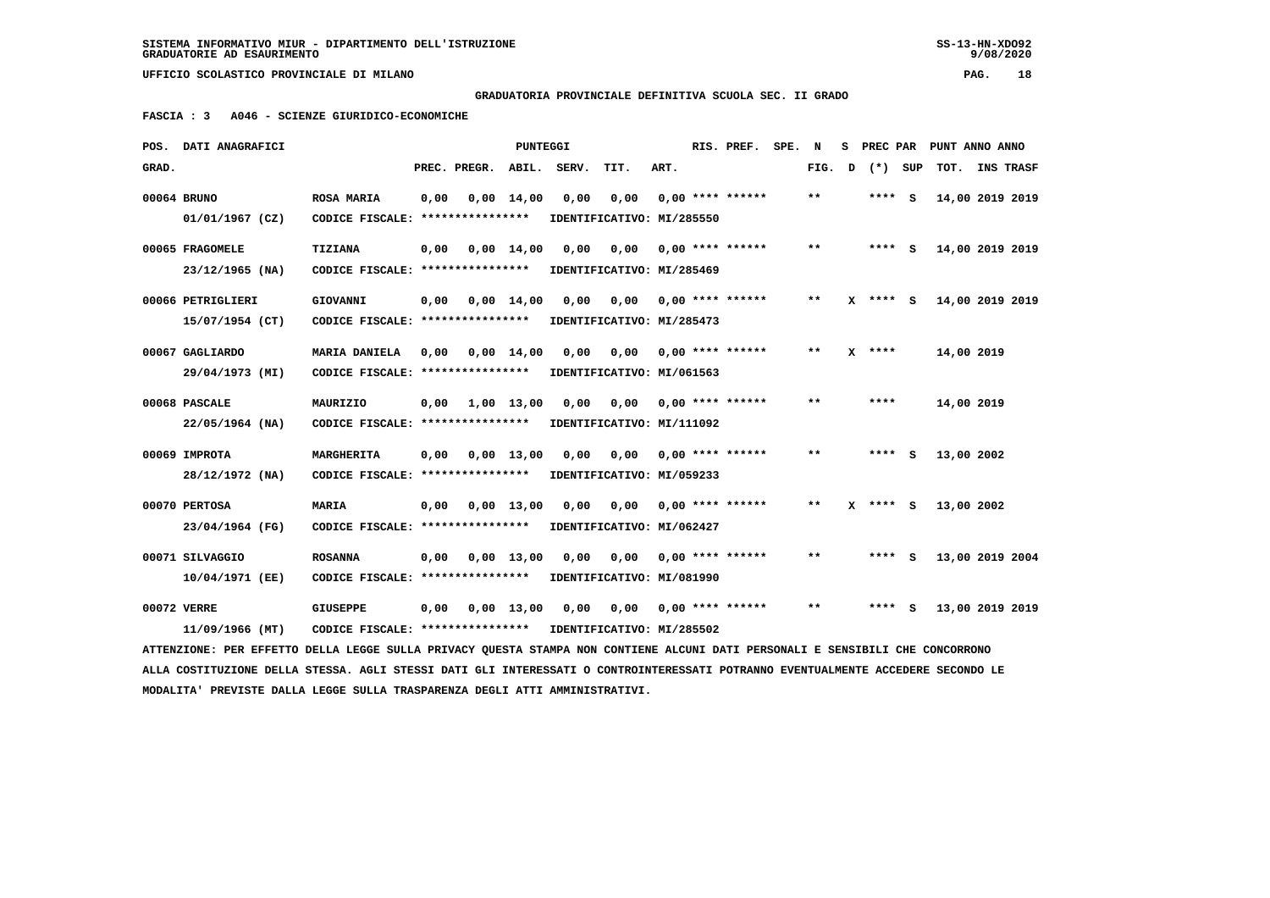**GRADUATORIA PROVINCIALE DEFINITIVA SCUOLA SEC. II GRADO**

 **FASCIA : 3 A046 - SCIENZE GIURIDICO-ECONOMICHE**

| POS.  | DATI ANAGRAFICI                                                                                                                 |                                   |      |                               | PUNTEGGI           |                           |      |      | RIS. PREF.                | SPE. | $\mathbf N$  |   |            | S PREC PAR PUNT ANNO ANNO |  |
|-------|---------------------------------------------------------------------------------------------------------------------------------|-----------------------------------|------|-------------------------------|--------------------|---------------------------|------|------|---------------------------|------|--------------|---|------------|---------------------------|--|
| GRAD. |                                                                                                                                 |                                   |      | PREC. PREGR. ABIL. SERV.      |                    |                           | TIT. | ART. |                           |      | FIG.         | D | (*) SUP    | TOT. INS TRASF            |  |
|       | 00064 BRUNO                                                                                                                     | <b>ROSA MARIA</b>                 | 0,00 |                               | $0,00 \quad 14,00$ | 0,00                      | 0,00 |      | $0.00$ **** ******        |      | $***$        |   | **** S     | 14,00 2019 2019           |  |
|       | 01/01/1967 (CZ)                                                                                                                 | CODICE FISCALE: ****************  |      |                               |                    | IDENTIFICATIVO: MI/285550 |      |      |                           |      |              |   |            |                           |  |
|       | 00065 FRAGOMELE                                                                                                                 | <b>TIZIANA</b>                    | 0,00 |                               | $0.00 \quad 14.00$ | 0.00                      | 0.00 |      | $0.00$ **** ******        |      | $* *$        |   | $***$ S    | 14,00 2019 2019           |  |
|       | $23/12/1965$ (NA)                                                                                                               | CODICE FISCALE: ****************  |      |                               |                    | IDENTIFICATIVO: MI/285469 |      |      |                           |      |              |   |            |                           |  |
|       |                                                                                                                                 |                                   |      |                               |                    |                           |      |      |                           |      |              |   |            |                           |  |
|       | 00066 PETRIGLIERI                                                                                                               | GIOVANNI                          | 0,00 |                               | $0,00 \quad 14,00$ | 0,00                      |      |      | $0,00$ $0,00$ **** ****** |      | $* *$        |   | $X$ **** S | 14,00 2019 2019           |  |
|       | 15/07/1954 (CT)                                                                                                                 | CODICE FISCALE: ****************  |      |                               |                    | IDENTIFICATIVO: MI/285473 |      |      |                           |      |              |   |            |                           |  |
|       | 00067 GAGLIARDO                                                                                                                 | <b>MARIA DANIELA</b>              | 0.00 |                               | $0.00 \quad 14.00$ | 0.00                      | 0.00 |      | $0.00$ **** ******        |      | $* *$        |   | $X$ ****   | 14,00 2019                |  |
|       | 29/04/1973 (MI)                                                                                                                 | CODICE FISCALE: ***************** |      |                               |                    | IDENTIFICATIVO: MI/061563 |      |      |                           |      |              |   |            |                           |  |
|       | 00068 PASCALE                                                                                                                   | MAURIZIO                          |      | $0.00 \quad 1.00 \quad 13.00$ |                    | 0.00                      |      |      | $0,00$ $0,00$ **** ****** |      | **           |   | ****       | 14,00 2019                |  |
|       | $22/05/1964$ (NA)                                                                                                               | CODICE FISCALE: ****************  |      |                               |                    | IDENTIFICATIVO: MI/111092 |      |      |                           |      |              |   |            |                           |  |
|       |                                                                                                                                 |                                   |      |                               |                    |                           |      |      |                           |      |              |   |            |                           |  |
|       | 00069 IMPROTA                                                                                                                   | <b>MARGHERITA</b>                 | 0,00 |                               | 0.00 13.00         | 0.00                      | 0.00 |      | $0.00$ **** ******        |      | $* *$        |   | $***$ S    | 13,00 2002                |  |
|       | 28/12/1972 (NA)                                                                                                                 | CODICE FISCALE: ****************  |      |                               |                    | IDENTIFICATIVO: MI/059233 |      |      |                           |      |              |   |            |                           |  |
|       | 00070 PERTOSA                                                                                                                   | <b>MARIA</b>                      | 0,00 |                               | $0,00$ 13,00       | 0.00                      | 0.00 |      | $0.00$ **** ******        |      | $* *$        |   | $X$ **** S | 13,00 2002                |  |
|       |                                                                                                                                 |                                   |      |                               |                    |                           |      |      |                           |      |              |   |            |                           |  |
|       | 23/04/1964 (FG)                                                                                                                 | CODICE FISCALE: ****************  |      |                               |                    | IDENTIFICATIVO: MI/062427 |      |      |                           |      |              |   |            |                           |  |
|       | 00071 SILVAGGIO                                                                                                                 | <b>ROSANNA</b>                    | 0,00 |                               | $0,00$ 13,00       | 0,00                      | 0,00 |      | $0.00$ **** ******        |      | **           |   | **** S     | 13,00 2019 2004           |  |
|       | 10/04/1971 (EE)                                                                                                                 | CODICE FISCALE: ***************** |      |                               |                    | IDENTIFICATIVO: MI/081990 |      |      |                           |      |              |   |            |                           |  |
|       | 00072 VERRE                                                                                                                     | <b>GIUSEPPE</b>                   | 0,00 |                               | 0.00 13.00         | 0,00                      | 0,00 |      | $0.00$ **** ******        |      | $\star\star$ |   | $***$ S    | 13,00 2019 2019           |  |
|       | 11/09/1966 (MT)                                                                                                                 | CODICE FISCALE: ****************  |      |                               |                    | IDENTIFICATIVO: MI/285502 |      |      |                           |      |              |   |            |                           |  |
|       |                                                                                                                                 |                                   |      |                               |                    |                           |      |      |                           |      |              |   |            |                           |  |
|       | ATTENZIONE: PER EFFETTO DELLA LEGGE SULLA PRIVACY QUESTA STAMPA NON CONTIENE ALCUNI DATI PERSONALI E SENSIBILI CHE CONCORRONO   |                                   |      |                               |                    |                           |      |      |                           |      |              |   |            |                           |  |
|       | ALLA COSTITUZIONE DELLA STESSA. AGLI STESSI DATI GLI INTERESSATI O CONTROINTERESSATI POTRANNO EVENTUALMENTE ACCEDERE SECONDO LE |                                   |      |                               |                    |                           |      |      |                           |      |              |   |            |                           |  |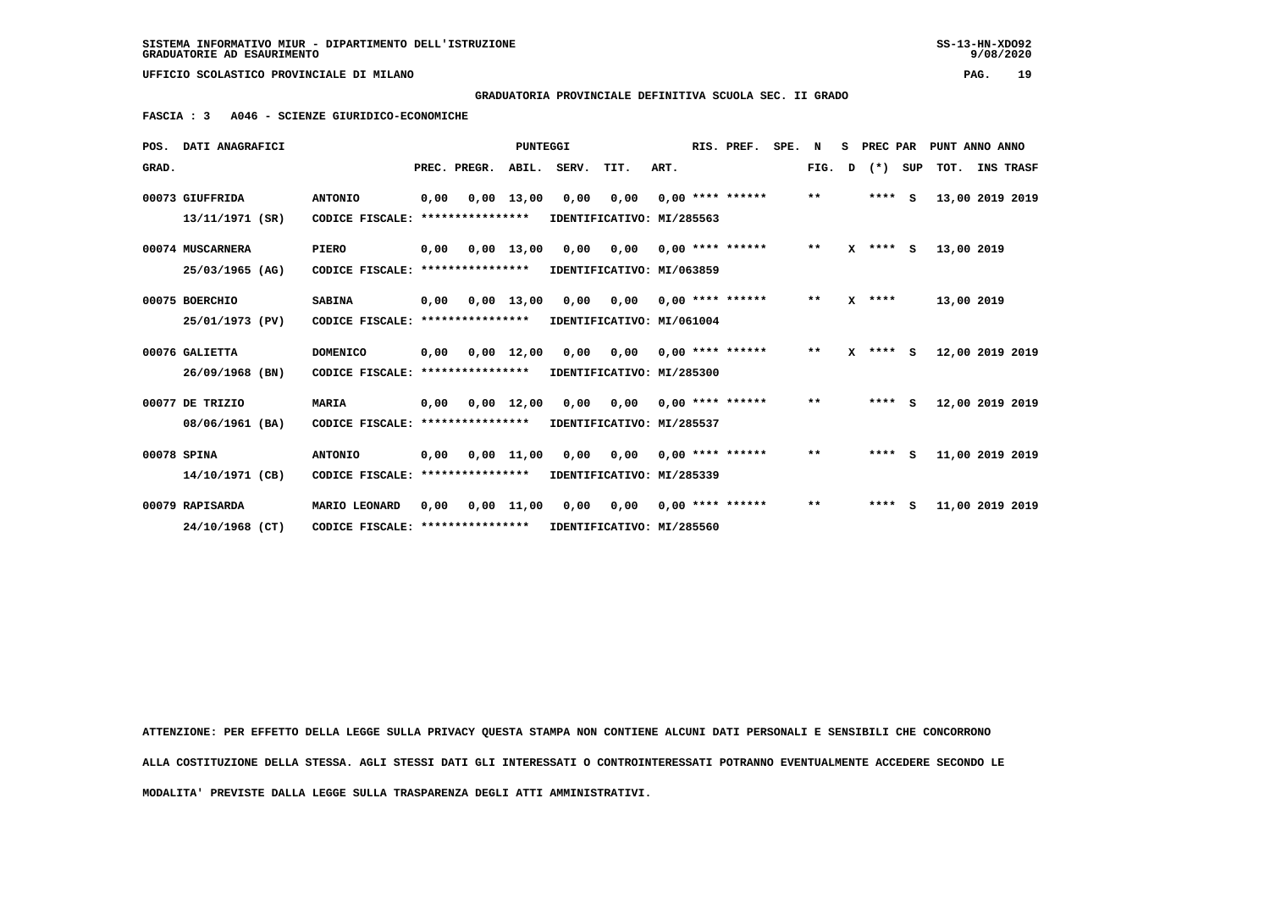**GRADUATORIA PROVINCIALE DEFINITIVA SCUOLA SEC. II GRADO**

 **FASCIA : 3 A046 - SCIENZE GIURIDICO-ECONOMICHE**

|       | POS. DATI ANAGRAFICI |                                   |      |                       | <b>PUNTEGGI</b> |                  |                                        |      | RIS. PREF.                | SPE. | N            | s | PREC PAR   |     | PUNT ANNO ANNO  |  |
|-------|----------------------|-----------------------------------|------|-----------------------|-----------------|------------------|----------------------------------------|------|---------------------------|------|--------------|---|------------|-----|-----------------|--|
| GRAD. |                      |                                   |      | PREC. PREGR.          |                 | ABIL. SERV. TIT. |                                        | ART. |                           |      | FIG.         | D | $(*)$      | SUP | TOT. INS TRASF  |  |
|       | 00073 GIUFFRIDA      | <b>ANTONIO</b>                    | 0,00 | 0,00 13,00            |                 | 0,00             | 0.00                                   |      | $0.00$ **** ******        |      | $\star\star$ |   | $***$ S    |     | 13,00 2019 2019 |  |
|       | 13/11/1971 (SR)      | CODICE FISCALE: ****************  |      |                       |                 |                  | IDENTIFICATIVO: MI/285563              |      |                           |      |              |   |            |     |                 |  |
|       | 00074 MUSCARNERA     | <b>PIERO</b>                      |      | $0,00$ $0,00$ $13,00$ |                 |                  | $0,00$ $0,00$                          |      | $0.00$ **** ******        |      | $***$        |   | $X$ **** S |     | 13,00 2019      |  |
|       | 25/03/1965 (AG)      | CODICE FISCALE: ***************** |      |                       |                 |                  | IDENTIFICATIVO: MI/063859              |      |                           |      |              |   |            |     |                 |  |
|       | 00075 BOERCHIO       | <b>SABINA</b>                     | 0,00 |                       | $0,00$ 13,00    | 0,00             | 0,00                                   |      | $0.00$ **** ******        |      | $***$        |   | $X$ ****   |     | 13,00 2019      |  |
|       | 25/01/1973 (PV)      | CODICE FISCALE: ****************  |      |                       |                 |                  | IDENTIFICATIVO: MI/061004              |      |                           |      |              |   |            |     |                 |  |
|       | 00076 GALIETTA       | <b>DOMENICO</b>                   | 0,00 |                       | $0,00$ 12,00    | 0,00             |                                        |      | $0,00$ $0,00$ **** ****** |      | $* *$        |   | $X$ **** S |     | 12,00 2019 2019 |  |
|       | 26/09/1968 (BN)      | CODICE FISCALE: ****************  |      |                       |                 |                  | IDENTIFICATIVO: MI/285300              |      |                           |      |              |   |            |     |                 |  |
|       | 00077 DE TRIZIO      | <b>MARIA</b>                      | 0.00 |                       | $0.00$ 12.00    | 0.00             | 0,00                                   |      | $0.00$ **** ******        |      | **           |   | $***$ S    |     | 12,00 2019 2019 |  |
|       | 08/06/1961 (BA)      | CODICE FISCALE: ***************** |      |                       |                 |                  | IDENTIFICATIVO: MI/285537              |      |                           |      |              |   |            |     |                 |  |
|       | 00078 SPINA          | <b>ANTONIO</b>                    | 0,00 |                       |                 |                  | 0,00 11,00 0,00 0,00                   |      | $0.00$ **** ******        |      | $***$        |   | $***$ S    |     | 11,00 2019 2019 |  |
|       | 14/10/1971 (CB)      | CODICE FISCALE: ****************  |      |                       |                 |                  | IDENTIFICATIVO: MI/285339              |      |                           |      |              |   |            |     |                 |  |
|       | 00079 RAPISARDA      | MARIO LEONARD                     | 0,00 |                       | 0,00 11,00      |                  | $0.00$ $0.00$ $0.00$ $***$ **** ****** |      |                           |      | $***$        |   | ****       | s   | 11,00 2019 2019 |  |
|       | 24/10/1968 (CT)      | CODICE FISCALE: ***************** |      |                       |                 |                  | IDENTIFICATIVO: MI/285560              |      |                           |      |              |   |            |     |                 |  |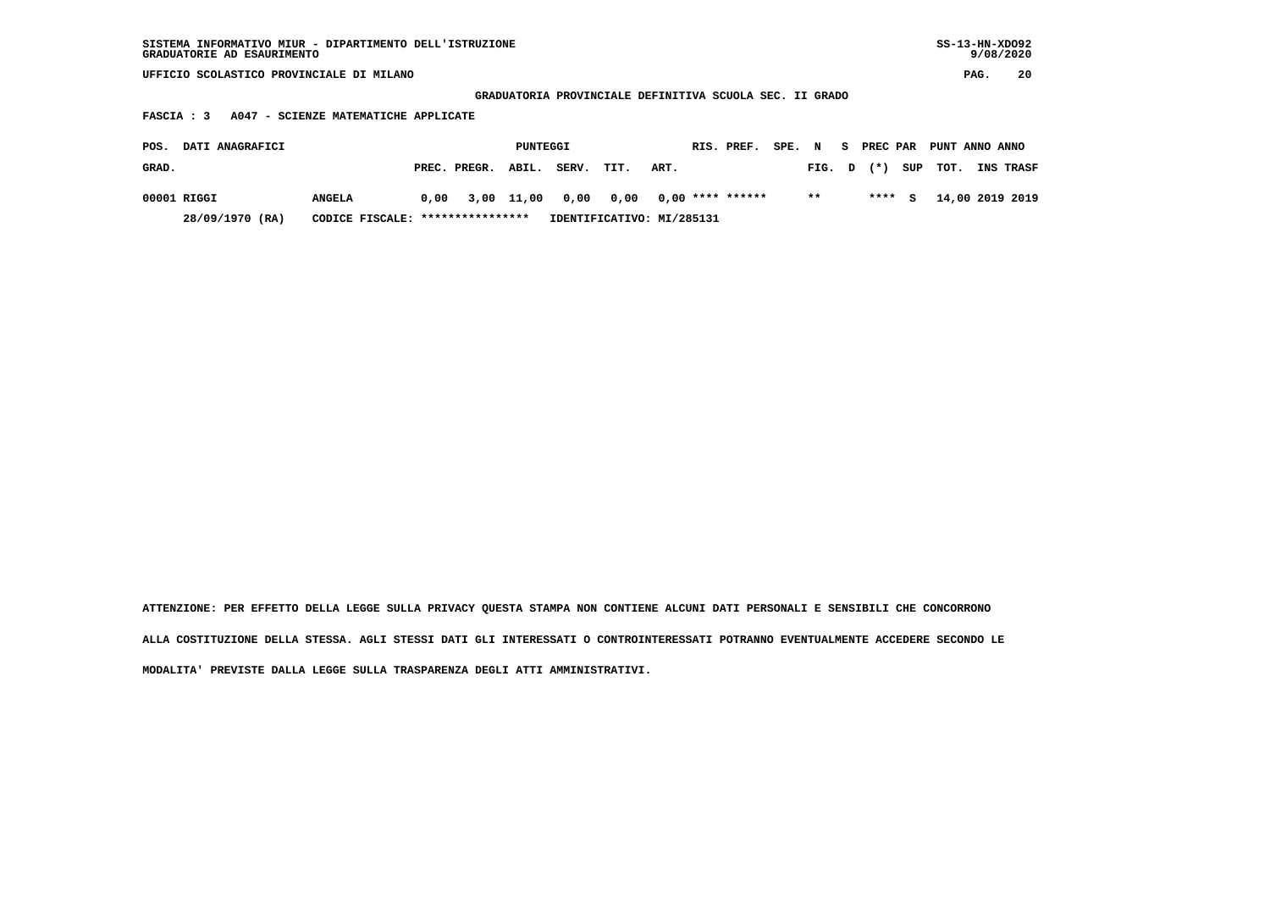**GRADUATORIA PROVINCIALE DEFINITIVA SCUOLA SEC. II GRADO**

 **FASCIA : 3 A047 - SCIENZE MATEMATICHE APPLICATE**

| POS.  | <b>DATI ANAGRAFICI</b> |                                  |                    | PUNTEGGI |                                              |      |      | RIS. PREF. | SPE. N |       | - S | <b>PREC PAR</b> |         | PUNT ANNO ANNO          |                  |
|-------|------------------------|----------------------------------|--------------------|----------|----------------------------------------------|------|------|------------|--------|-------|-----|-----------------|---------|-------------------------|------------------|
| GRAD. |                        |                                  | PREC. PREGR. ABIL. |          | SERV.                                        | TIT. | ART. |            |        |       |     |                 |         | FIG. $D$ $(*)$ SUP TOT. | <b>INS TRASF</b> |
|       | 00001 RIGGI            | <b>ANGELA</b>                    |                    |          | $0,00$ 3,00 11,00 0,00 0,00 0,00 **** ****** |      |      |            |        | $* *$ |     |                 | $***$ S |                         | 14,00 2019 2019  |
|       | 28/09/1970 (RA)        | CODICE FISCALE: **************** |                    |          | IDENTIFICATIVO: MI/285131                    |      |      |            |        |       |     |                 |         |                         |                  |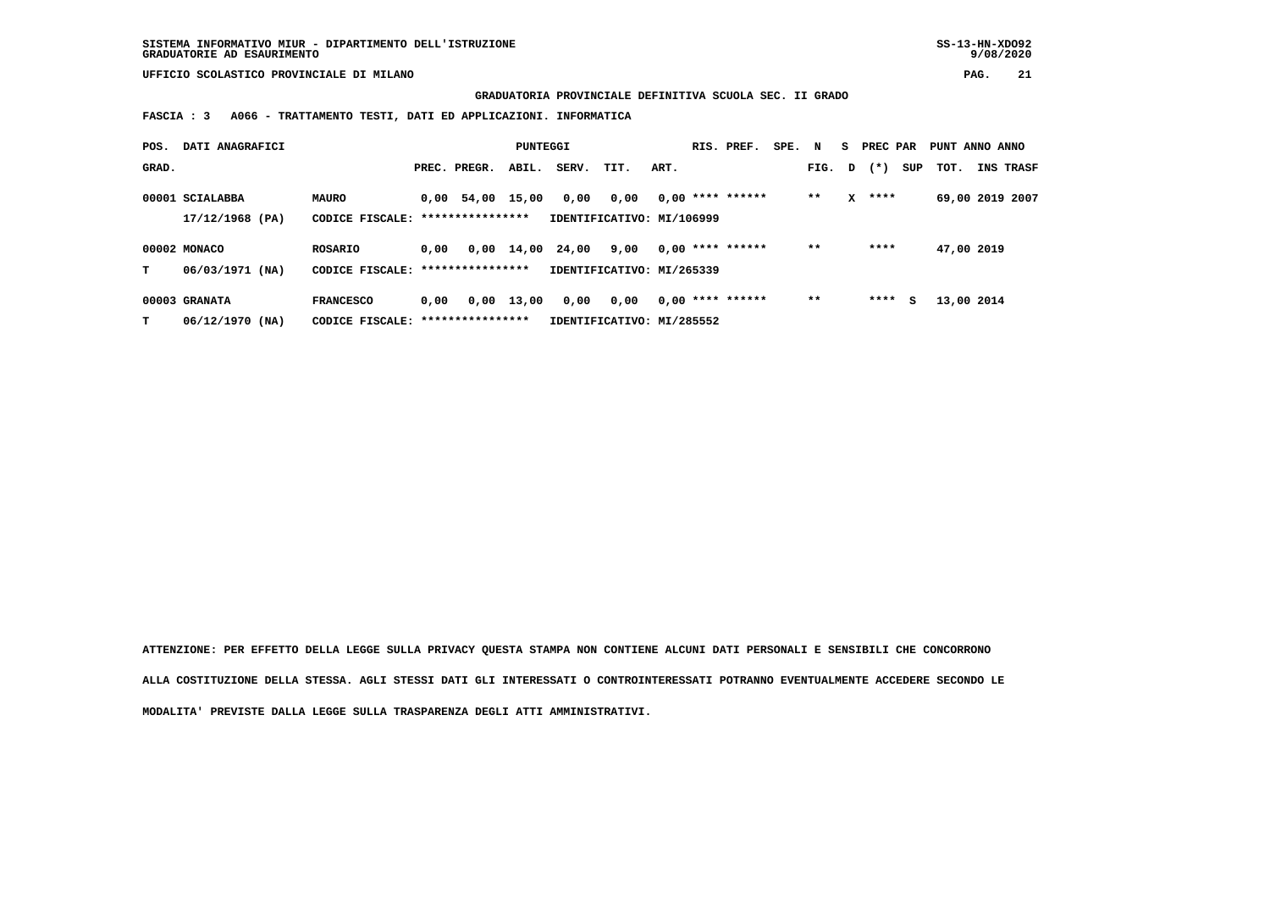**SISTEMA INFORMATIVO MIUR - DIPARTIMENTO DELL'ISTRUZIONE SS-13-HN-XDO92 GRADUATORIE AD ESAURIMENTO 9/08/2020**

 **GRADUATORIA PROVINCIALE DEFINITIVA SCUOLA SEC. II GRADO**

 **FASCIA : 3 A066 - TRATTAMENTO TESTI, DATI ED APPLICAZIONI. INFORMATICA**

| POS.  | DATI ANAGRAFICI |                                   |      |                    | PUNTEGGI       |       |                           |      | RIS. PREF.         | SPE. N |        | s. | PREC PAR |     | PUNT ANNO ANNO  |                  |
|-------|-----------------|-----------------------------------|------|--------------------|----------------|-------|---------------------------|------|--------------------|--------|--------|----|----------|-----|-----------------|------------------|
| GRAD. |                 |                                   |      | PREC. PREGR.       | ABIL.          | SERV. | TIT.                      | ART. |                    |        | FIG. D |    | $(* )$   | SUP | тот.            | <b>INS TRASF</b> |
|       | 00001 SCIALABBA | MAURO                             |      | $0.00$ 54,00 15,00 |                | 0,00  | 0,00                      |      | $0,00$ **** ****** |        | $**$   | x  | ****     |     | 69,00 2019 2007 |                  |
|       | 17/12/1968 (PA) | CODICE FISCALE: ***************** |      |                    |                |       | IDENTIFICATIVO: MI/106999 |      |                    |        |        |    |          |     |                 |                  |
|       | 00002 MONACO    | <b>ROSARIO</b>                    | 0.00 |                    | $0,00$ $14,00$ | 24,00 | 9,00                      |      | $0.00$ **** ****** |        | $* *$  |    | ****     |     | 47,00 2019      |                  |
| т     | 06/03/1971 (NA) | CODICE FISCALE: ****************  |      |                    |                |       | IDENTIFICATIVO: MI/265339 |      |                    |        |        |    |          |     |                 |                  |
|       | 00003 GRANATA   | <b>FRANCESCO</b>                  | 0.00 |                    | $0,00$ 13,00   | 0,00  | 0,00                      |      | $0,00$ **** ****** |        | $* *$  |    | ****     | s   | 13,00 2014      |                  |
| т     | 06/12/1970 (NA) | CODICE FISCALE: ***************** |      |                    |                |       | IDENTIFICATIVO: MI/285552 |      |                    |        |        |    |          |     |                 |                  |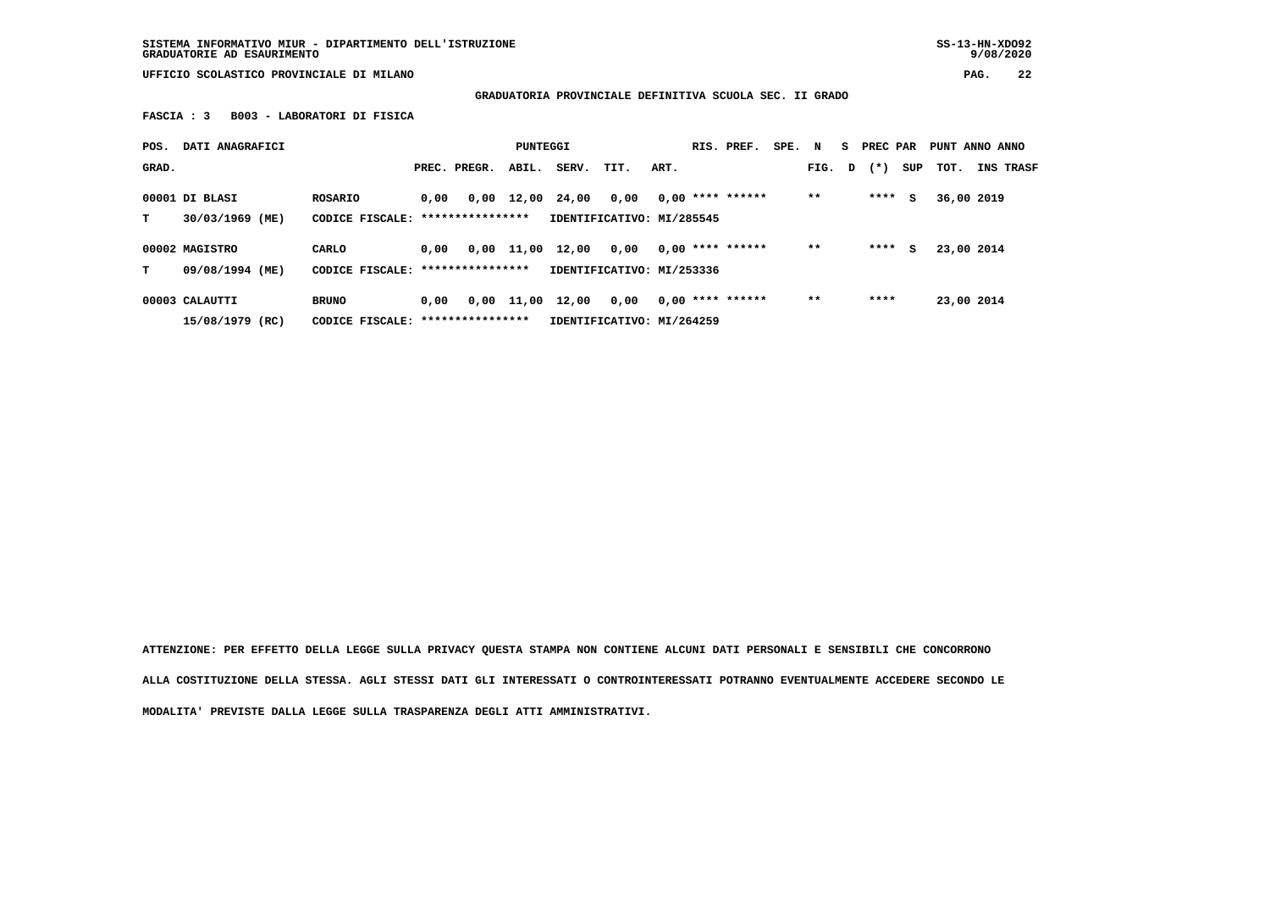**SISTEMA INFORMATIVO MIUR - DIPARTIMENTO DELL'ISTRUZIONE SS-13-HN-XDO92 GRADUATORIE AD ESAURIMENTO 9/08/2020**

 $9/08/2020$ 

 **UFFICIO SCOLASTICO PROVINCIALE DI MILANO PAG. 22**

 **GRADUATORIA PROVINCIALE DEFINITIVA SCUOLA SEC. II GRADO**

 **FASCIA : 3 B003 - LABORATORI DI FISICA**

| POS.  | DATI ANAGRAFICI    |                                   |      |              | PUNTEGGI   |                           |                           |      | RIS. PREF.         | SPE. N |       |   | S PREC PAR |     | PUNT ANNO ANNO |                  |
|-------|--------------------|-----------------------------------|------|--------------|------------|---------------------------|---------------------------|------|--------------------|--------|-------|---|------------|-----|----------------|------------------|
| GRAD. |                    |                                   |      | PREC. PREGR. | ABIL.      | SERV.                     | TIT.                      | ART. |                    |        | FIG.  | D | $(* )$     | SUP | тот.           | <b>INS TRASF</b> |
|       | 00001 DI BLASI     | <b>ROSARIO</b>                    | 0,00 |              | 0,00 12,00 | 24,00                     | 0,00                      |      | $0,00$ **** ****** |        | $* *$ |   | ****       | s   | 36,00 2019     |                  |
| т     | 30/03/1969 (ME)    | CODICE FISCALE: ***************** |      |              |            |                           | IDENTIFICATIVO: MI/285545 |      |                    |        |       |   |            |     |                |                  |
|       | 00002 MAGISTRO     | CARLO                             | 0.00 | 0,00         | 11,00      | 12,00                     | 0,00                      |      | $0.00$ **** ****** |        | $* *$ |   | ****       | s   | 23,00 2014     |                  |
| т     | 09/08/1994 (ME)    | CODICE FISCALE: ***************** |      |              |            | IDENTIFICATIVO: MI/253336 |                           |      |                    |        |       |   |            |     |                |                  |
|       | 00003 CALAUTTI     | <b>BRUNO</b>                      | 0.00 | 0,00         | 11,00      | 12,00                     | 0.00                      |      | $0,00$ **** ****** |        | $* *$ |   | ****       |     | 23,00 2014     |                  |
|       | 15/08/1979<br>(RC) | CODICE FISCALE: ****************  |      |              |            |                           | IDENTIFICATIVO: MI/264259 |      |                    |        |       |   |            |     |                |                  |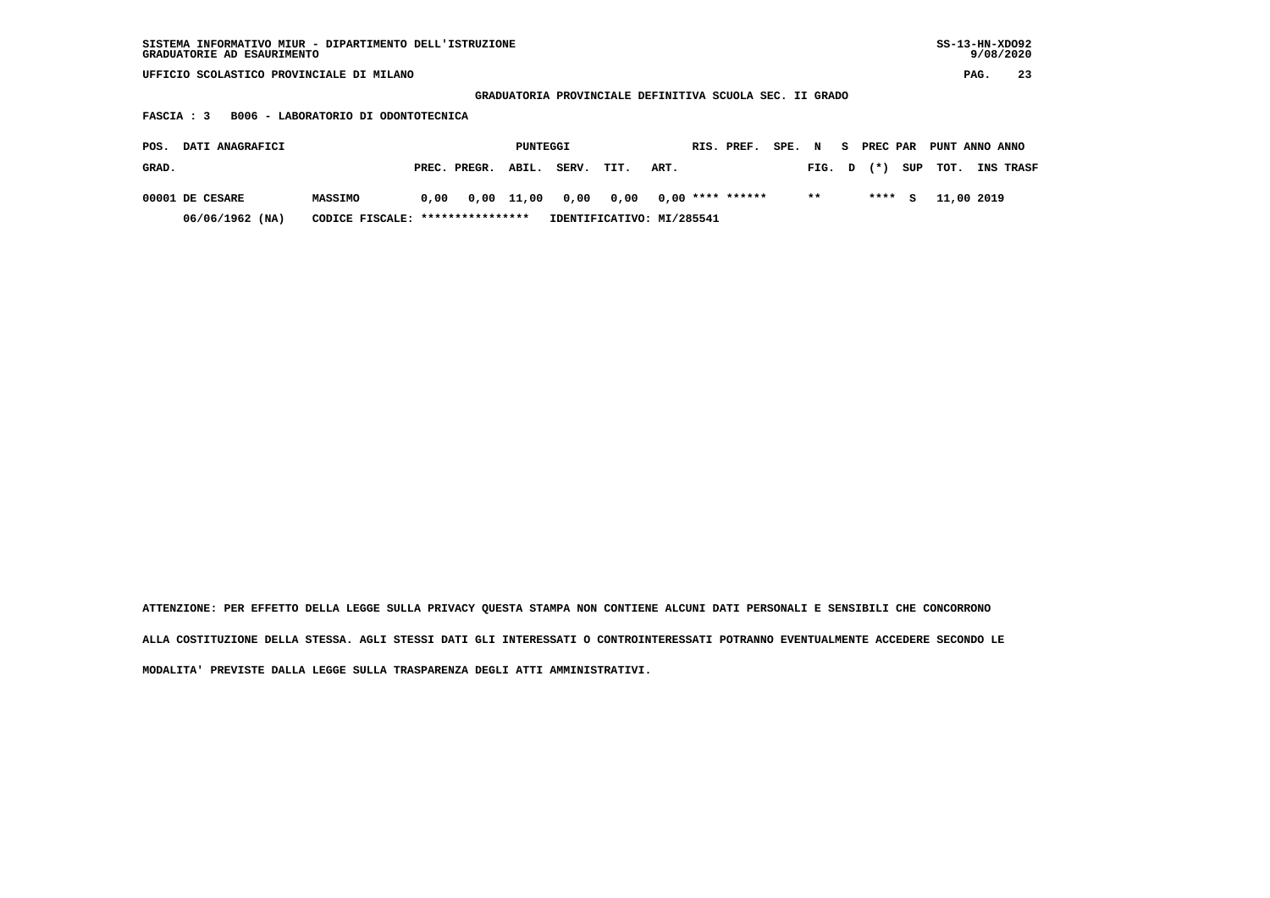| SISTEMA INFORMATIVO MIUR - DIPARTIMENTO DELL'ISTRUZIONE<br>GRADUATORIE AD ESAURIMENTO |          |                                                         | SS-13-HN-XD092<br>9/08/2020 |
|---------------------------------------------------------------------------------------|----------|---------------------------------------------------------|-----------------------------|
| UFFICIO SCOLASTICO PROVINCIALE DI MILANO                                              |          |                                                         | 23<br>PAG.                  |
|                                                                                       |          | GRADUATORIA PROVINCIALE DEFINITIVA SCUOLA SEC. II GRADO |                             |
| B006 - LABORATORIO DI ODONTOTECNICA<br>FASCIA : 3                                     |          |                                                         |                             |
| DATI ANAGRAFICI<br>POS.                                                               | PUNTEGGI | SPE. N<br>RIS. PREF.<br>S.                              | PREC PAR PUNT ANNO ANNO     |

| GRAD.           |                                  | PREC. PREGR. ABIL. | SERV. | TIT. | ART.                                                         | FIG. D |  | (*) SUP TOT. INS TRASF |  |
|-----------------|----------------------------------|--------------------|-------|------|--------------------------------------------------------------|--------|--|------------------------|--|
| 00001 DE CESARE | <b>MASSIMO</b>                   |                    |       |      | $0.00$ $0.00$ $11.00$ $0.00$ $0.00$ $0.00$ $***$ **** ****** | $***$  |  | **** S 11,00 2019      |  |
| 06/06/1962 (NA) | CODICE FISCALE: **************** |                    |       |      | IDENTIFICATIVO: MI/285541                                    |        |  |                        |  |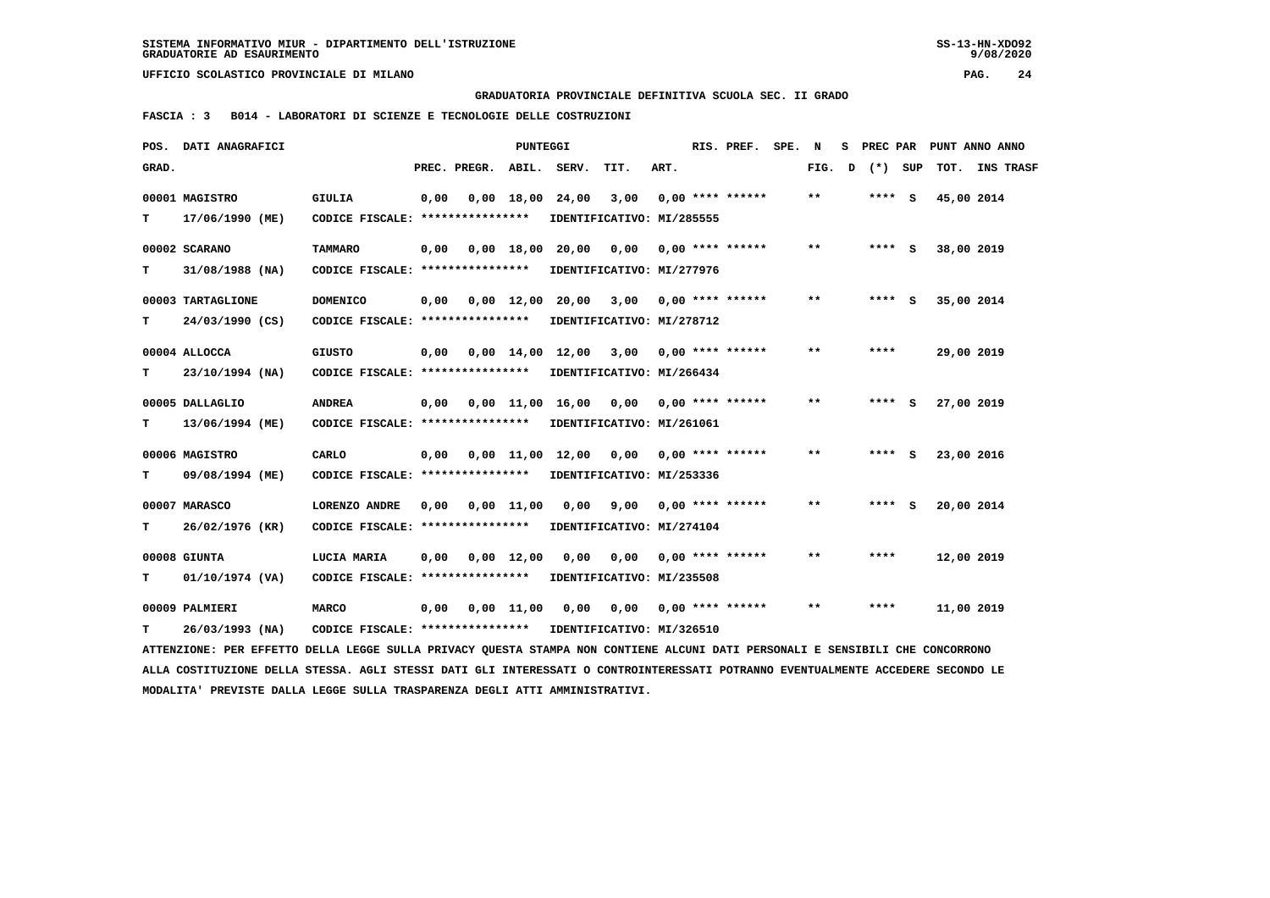**GRADUATORIA PROVINCIALE DEFINITIVA SCUOLA SEC. II GRADO**

 **FASCIA : 3 B014 - LABORATORI DI SCIENZE E TECNOLOGIE DELLE COSTRUZIONI**

|       | POS. DATI ANAGRAFICI                                                                                                            |                                                            |      |              | PUNTEGGI           |                                           |                                        |      | RIS. PREF. SPE.    | N     |   |         | S PREC PAR PUNT ANNO ANNO |  |
|-------|---------------------------------------------------------------------------------------------------------------------------------|------------------------------------------------------------|------|--------------|--------------------|-------------------------------------------|----------------------------------------|------|--------------------|-------|---|---------|---------------------------|--|
| GRAD. |                                                                                                                                 |                                                            |      | PREC. PREGR. | ABIL.              | SERV.                                     | TIT.                                   | ART. |                    | FIG.  | D | (*) SUP | TOT. INS TRASF            |  |
|       | 00001 MAGISTRO                                                                                                                  | <b>GIULIA</b>                                              | 0,00 |              | $0,00 \quad 18,00$ | 24,00                                     | 3,00                                   |      | $0.00$ **** ****** | $* *$ |   | **** S  | 45,00 2014                |  |
| т     | 17/06/1990 (ME)                                                                                                                 | CODICE FISCALE: ****************                           |      |              |                    |                                           | IDENTIFICATIVO: MI/285555              |      |                    |       |   |         |                           |  |
|       | 00002 SCARANO                                                                                                                   | <b>TAMMARO</b>                                             | 0,00 |              |                    | $0,00$ 18,00 20,00                        | 0,00                                   |      | $0,00$ **** ****** | $* *$ |   | **** S  | 38,00 2019                |  |
| т     | 31/08/1988 (NA)                                                                                                                 | CODICE FISCALE: *****************                          |      |              |                    |                                           | IDENTIFICATIVO: MI/277976              |      |                    |       |   |         |                           |  |
|       |                                                                                                                                 |                                                            |      |              |                    |                                           |                                        |      |                    |       |   |         |                           |  |
|       | 00003 TARTAGLIONE                                                                                                               | <b>DOMENICO</b>                                            | 0,00 | 0,00 12,00   |                    |                                           | 20,00 3,00 0,00 **** ******            |      |                    | $**$  |   | $***$ S | 35,00 2014                |  |
| т     | 24/03/1990 (CS)                                                                                                                 | CODICE FISCALE: ****************                           |      |              |                    |                                           | IDENTIFICATIVO: MI/278712              |      |                    |       |   |         |                           |  |
|       | 00004 ALLOCCA                                                                                                                   | <b>GIUSTO</b>                                              | 0,00 |              |                    | $0.00 \quad 14.00 \quad 12.00 \quad 3.00$ |                                        |      | $0.00$ **** ****** | $* *$ |   | ****    | 29,00 2019                |  |
| т     | 23/10/1994 (NA)                                                                                                                 | CODICE FISCALE: *****************                          |      |              |                    |                                           | IDENTIFICATIVO: MI/266434              |      |                    |       |   |         |                           |  |
|       | 00005 DALLAGLIO                                                                                                                 | <b>ANDREA</b>                                              |      |              |                    | $0,00$ 11,00 16,00 0,00 0,00 **** ******  |                                        |      |                    | $**$  |   | $***$ S | 27,00 2019                |  |
|       |                                                                                                                                 |                                                            | 0,00 |              |                    |                                           |                                        |      |                    |       |   |         |                           |  |
| т     | 13/06/1994 (ME)                                                                                                                 | CODICE FISCALE: ****************                           |      |              |                    |                                           | IDENTIFICATIVO: MI/261061              |      |                    |       |   |         |                           |  |
|       | 00006 MAGISTRO                                                                                                                  | CARLO                                                      | 0,00 |              |                    | 0,00 11,00 12,00 0,00                     |                                        |      | $0,00$ **** ****** | $* *$ |   | $***$ S | 23,00 2016                |  |
| т     | 09/08/1994 (ME)                                                                                                                 | CODICE FISCALE: *****************                          |      |              |                    |                                           | IDENTIFICATIVO: MI/253336              |      |                    |       |   |         |                           |  |
|       | 00007 MARASCO                                                                                                                   | LORENZO ANDRE                                              | 0,00 | 0,00 11,00   |                    |                                           | $0,00$ $9,00$ $0,00$ $***$ **** ****** |      |                    | $**$  |   | $***$ S | 20,00 2014                |  |
| т     | 26/02/1976 (KR)                                                                                                                 | CODICE FISCALE: *****************                          |      |              |                    |                                           | IDENTIFICATIVO: MI/274104              |      |                    |       |   |         |                           |  |
|       |                                                                                                                                 |                                                            |      |              |                    |                                           |                                        |      |                    |       |   |         |                           |  |
|       | 00008 GIUNTA                                                                                                                    | LUCIA MARIA                                                | 0,00 |              | $0,00 \quad 12,00$ | 0,00                                      | 0,00                                   |      | $0,00$ **** ****** | $* *$ |   | ****    | 12,00 2019                |  |
| т     | 01/10/1974 (VA)                                                                                                                 | CODICE FISCALE: *****************                          |      |              |                    |                                           | IDENTIFICATIVO: MI/235508              |      |                    |       |   |         |                           |  |
|       | 00009 PALMIERI                                                                                                                  | <b>MARCO</b>                                               | 0,00 |              | 0,00 11,00         |                                           |                                        |      |                    | $* *$ |   | ****    | 11,00 2019                |  |
|       | 26/03/1993 (NA)                                                                                                                 | CODICE FISCALE: **************** IDENTIFICATIVO: MI/326510 |      |              |                    |                                           |                                        |      |                    |       |   |         |                           |  |
| т     |                                                                                                                                 |                                                            |      |              |                    |                                           |                                        |      |                    |       |   |         |                           |  |
|       | ATTENZIONE: PER EFFETTO DELLA LEGGE SULLA PRIVACY QUESTA STAMPA NON CONTIENE ALCUNI DATI PERSONALI E SENSIBILI CHE CONCORRONO   |                                                            |      |              |                    |                                           |                                        |      |                    |       |   |         |                           |  |
|       | ALLA COSTITUZIONE DELLA STESSA. AGLI STESSI DATI GLI INTERESSATI O CONTROINTERESSATI POTRANNO EVENTUALMENTE ACCEDERE SECONDO LE |                                                            |      |              |                    |                                           |                                        |      |                    |       |   |         |                           |  |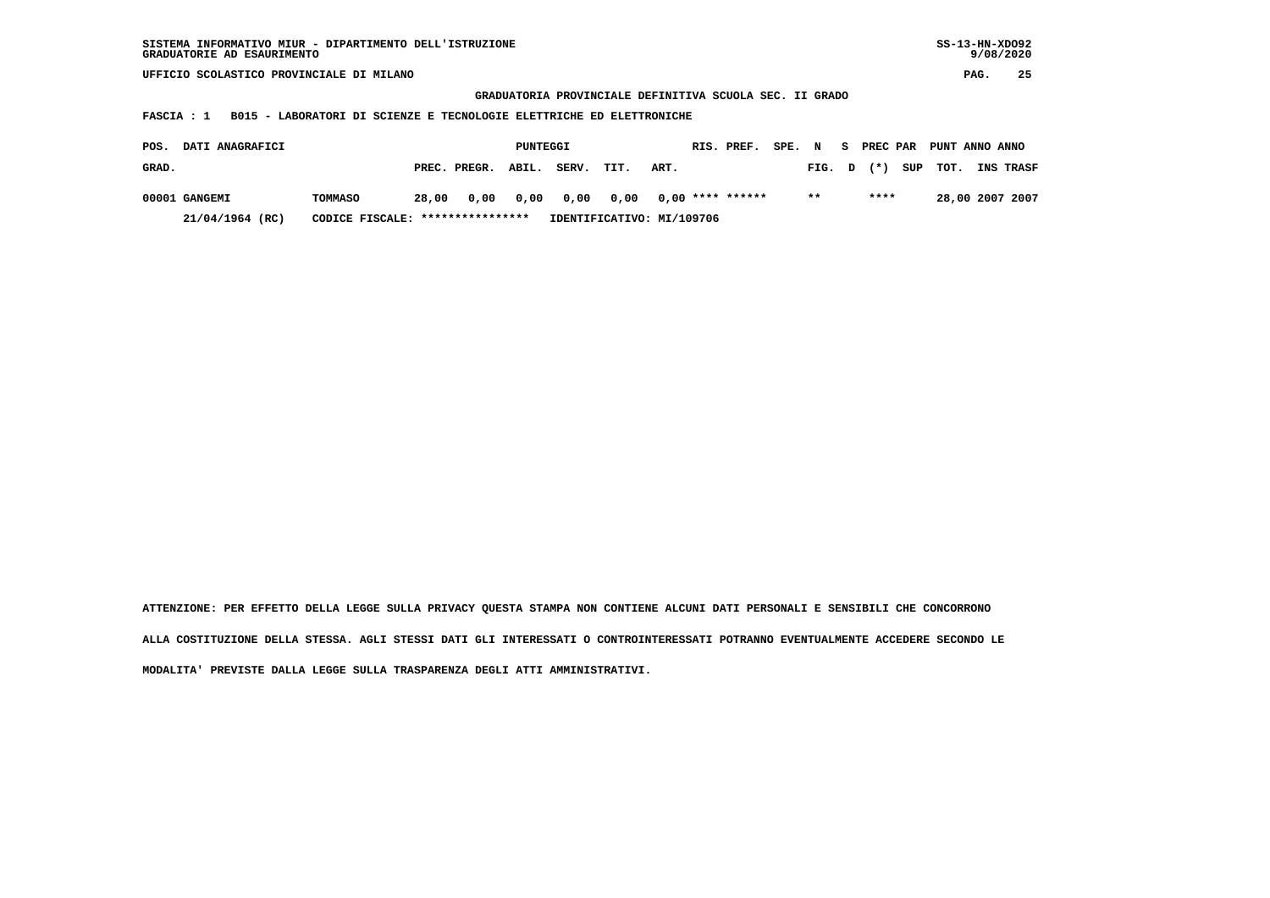| SISTEMA INFORMATIVO MIUR - DIPARTIMENTO DELL'ISTRUZIONE | SS-13-HN-XD092 |
|---------------------------------------------------------|----------------|
| GRADUATORIE AD ESAURIMENTO                              | 9/08/2020      |

 **GRADUATORIA PROVINCIALE DEFINITIVA SCUOLA SEC. II GRADO**

 **FASCIA : 1 B015 - LABORATORI DI SCIENZE E TECNOLOGIE ELETTRICHE ED ELETTRONICHE**

| POS.  | <b>DATI ANAGRAFICI</b> |                                  |       |                    | PUNTEGGI |                     |      |                           | RIS. PREF. | SPE. N |        | - S | PREC PAR |          | PUNT ANNO ANNO   |
|-------|------------------------|----------------------------------|-------|--------------------|----------|---------------------|------|---------------------------|------------|--------|--------|-----|----------|----------|------------------|
| GRAD. |                        |                                  |       | PREC. PREGR. ABIL. |          | SERV.               | TIT. | ART.                      |            |        | FIG. D |     | $(*)$    | SUP TOT. | <b>INS TRASF</b> |
|       | 00001 GANGEMI          | TOMMASO                          | 28,00 |                    |          | 0,00 0,00 0,00 0,00 |      | 0,00 **** ******          |            |        | $* *$  |     | ****     |          | 28,00 2007 2007  |
|       | 21/04/1964 (RC)        | CODICE FISCALE: **************** |       |                    |          |                     |      | IDENTIFICATIVO: MI/109706 |            |        |        |     |          |          |                  |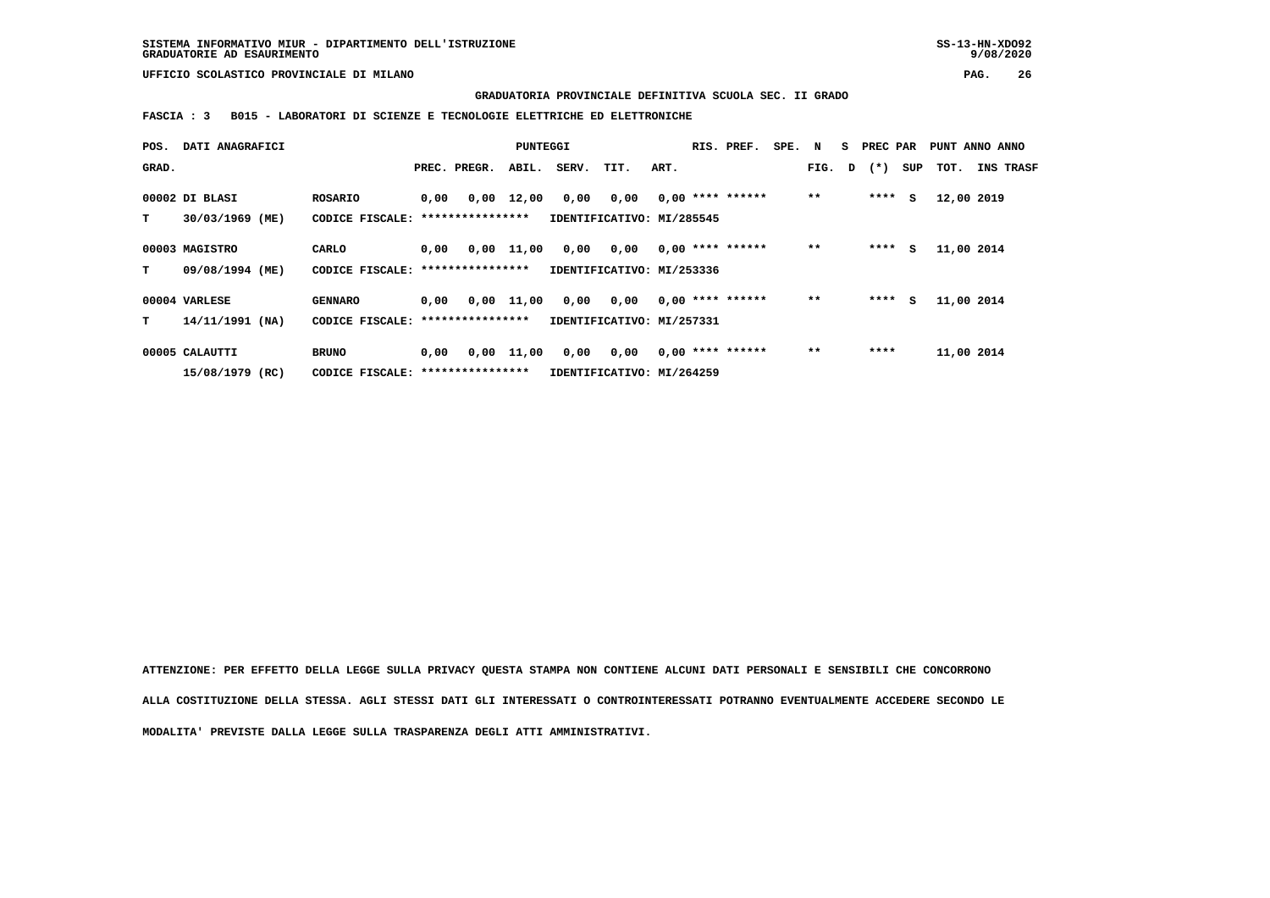**GRADUATORIA PROVINCIALE DEFINITIVA SCUOLA SEC. II GRADO**

 **FASCIA : 3 B015 - LABORATORI DI SCIENZE E TECNOLOGIE ELETTRICHE ED ELETTRONICHE**

| POS.  | DATI ANAGRAFICI                   |                                            |      |                          | PUNTEGGI     |       |                                   |      | RIS. PREF.         | SPE. | N     | s. | PREC PAR |     | PUNT ANNO ANNO |                  |
|-------|-----------------------------------|--------------------------------------------|------|--------------------------|--------------|-------|-----------------------------------|------|--------------------|------|-------|----|----------|-----|----------------|------------------|
| GRAD. |                                   |                                            |      | PREC. PREGR.             | ABIL.        | SERV. | TIT.                              | ART. |                    |      | FIG.  | D  | $(* )$   | SUP | тот.           | <b>INS TRASF</b> |
| т     | 00002 DI BLASI<br>30/03/1969 (ME) | <b>ROSARIO</b><br>CODICE FISCALE:          | 0,00 | 0,00<br>**************** | 12,00        | 0,00  | 0,00<br>IDENTIFICATIVO: MI/285545 |      | $0,00$ **** ****** |      | $* *$ |    | ****     | s   | 12,00 2019     |                  |
| т     | 00003 MAGISTRO<br>09/08/1994 (ME) | CARLO<br>CODICE FISCALE: ***************** | 0,00 |                          | $0,00$ 11,00 | 0,00  | 0,00<br>IDENTIFICATIVO: MI/253336 |      | $0,00$ **** ****** |      | $* *$ |    | ****     | s   | 11,00 2014     |                  |
|       | 00004 VARLESE                     | <b>GENNARO</b>                             | 0,00 | 0,00                     | 11,00        | 0,00  | 0,00                              |      | $0.00$ **** ****** |      | $* *$ |    | ****     | s   | 11,00 2014     |                  |
| т     | $14/11/1991$ (NA)                 | CODICE FISCALE: *****************          |      |                          |              |       | IDENTIFICATIVO: MI/257331         |      |                    |      |       |    |          |     |                |                  |
|       | 00005 CALAUTTI                    | <b>BRUNO</b>                               | 0,00 | 0,00                     | 11,00        | 0,00  | 0,00                              |      | $0,00$ **** ****** |      | $***$ |    | ****     |     | 11,00 2014     |                  |
|       | 15/08/1979 (RC)                   | CODICE FISCALE: *****************          |      |                          |              |       | IDENTIFICATIVO: MI/264259         |      |                    |      |       |    |          |     |                |                  |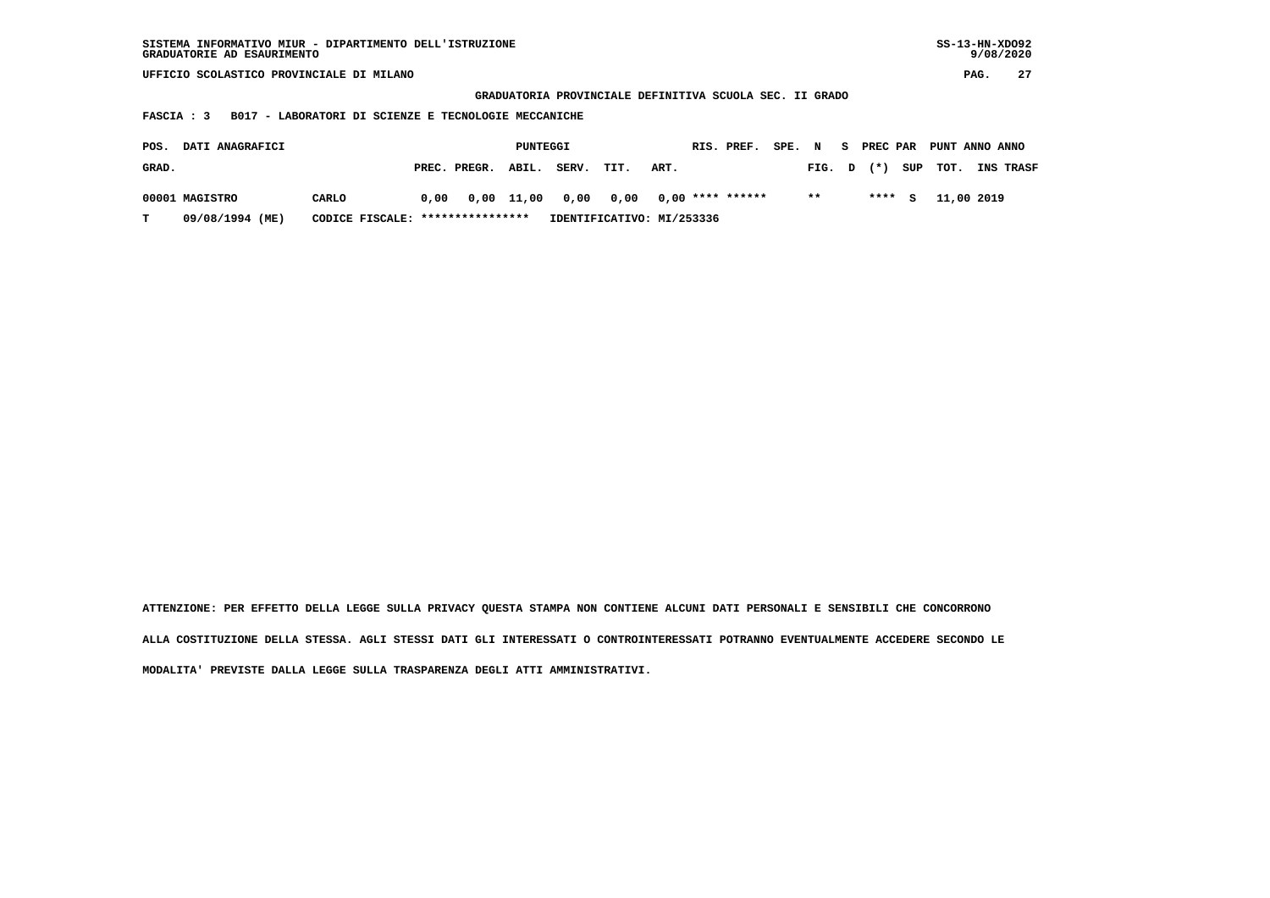| SISTEMA INFORMATIVO MIUR - DIPARTIMENTO DELL'ISTRUZIONE<br>GRADUATORIE AD ESAURIMENTO           |                                                      |                           |                                                         |                     | $SS-13-HN-XDO92$<br>9/08/2020 |  |  |  |  |  |  |  |  |
|-------------------------------------------------------------------------------------------------|------------------------------------------------------|---------------------------|---------------------------------------------------------|---------------------|-------------------------------|--|--|--|--|--|--|--|--|
| UFFICIO SCOLASTICO PROVINCIALE DI MILANO                                                        |                                                      |                           |                                                         |                     | 27<br>PAG.                    |  |  |  |  |  |  |  |  |
|                                                                                                 |                                                      |                           | GRADUATORIA PROVINCIALE DEFINITIVA SCUOLA SEC. II GRADO |                     |                               |  |  |  |  |  |  |  |  |
| FASCIA : 3                                                                                      | B017 - LABORATORI DI SCIENZE E TECNOLOGIE MECCANICHE |                           |                                                         |                     |                               |  |  |  |  |  |  |  |  |
| DATI ANAGRAFICI<br>PREC PAR<br>PUNTEGGI<br>RIS. PREF.<br>SPE. N<br>S.<br>PUNT ANNO ANNO<br>POS. |                                                      |                           |                                                         |                     |                               |  |  |  |  |  |  |  |  |
|                                                                                                 |                                                      |                           |                                                         |                     |                               |  |  |  |  |  |  |  |  |
| GRAD.                                                                                           | PREC. PREGR.                                         | ABIL.<br>SERV.<br>TIT.    | ART.                                                    | $(* )$<br>FIG.<br>D | SUP<br>TOT.<br>INS TRASF      |  |  |  |  |  |  |  |  |
|                                                                                                 |                                                      |                           |                                                         | $* *$               |                               |  |  |  |  |  |  |  |  |
| 00001 MAGISTRO<br>CARLO                                                                         | $0,00$ 11,00<br>0,00                                 | 0,00<br>0,00              | $0,00$ **** ******                                      | $***$ S             | 11,00 2019                    |  |  |  |  |  |  |  |  |
| 09/08/1994 (ME)<br>т                                                                            | ****************<br>CODICE FISCALE:                  | IDENTIFICATIVO: MI/253336 |                                                         |                     |                               |  |  |  |  |  |  |  |  |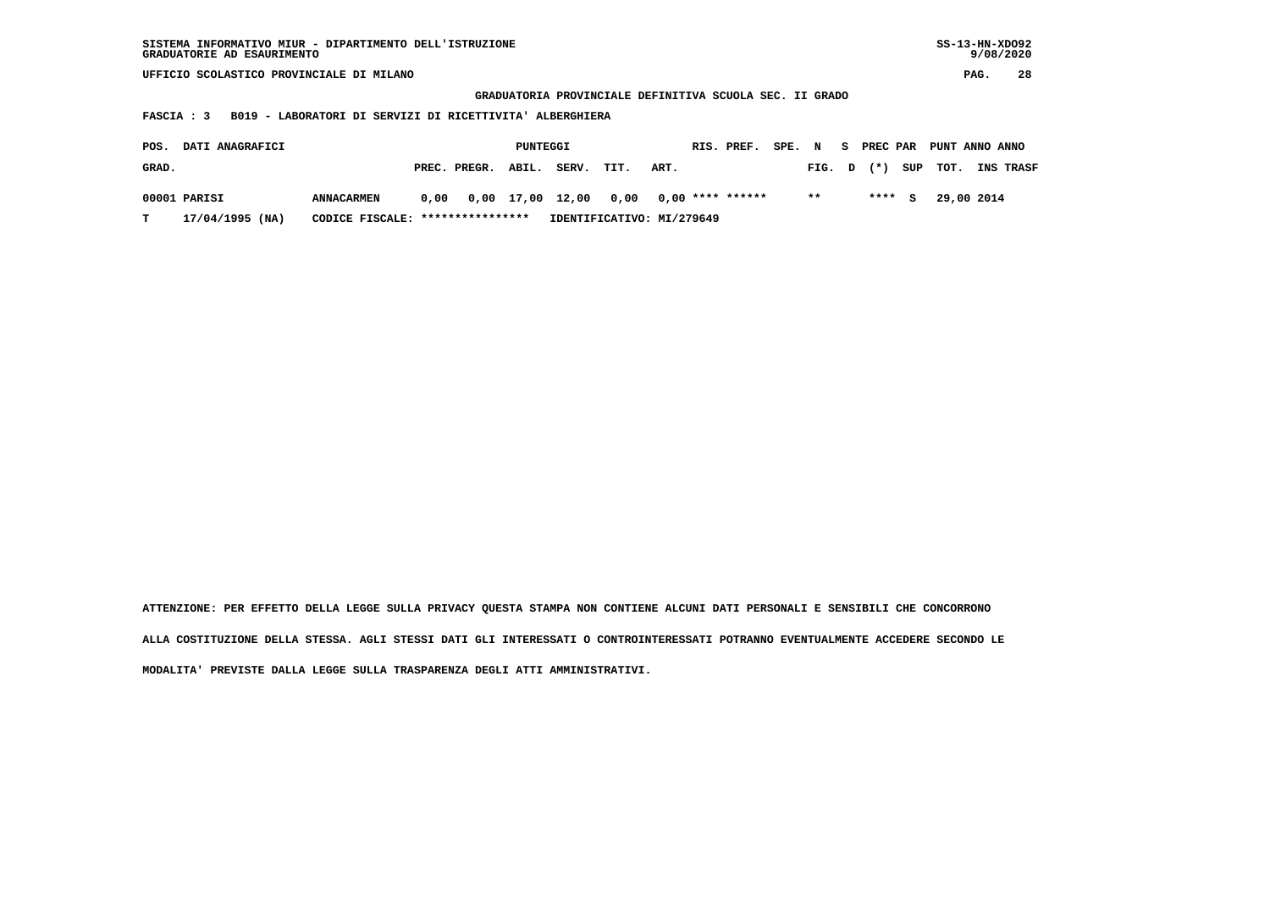| SISTEMA INFORMATIVO MIUR - DIPARTIMENTO DELL'ISTRUZIONE | $SS-13-HN-XDO92$ |
|---------------------------------------------------------|------------------|
| GRADUATORIE AD ESAURIMENTO                              | 9/08/2020        |

 **GRADUATORIA PROVINCIALE DEFINITIVA SCUOLA SEC. II GRADO**

 **FASCIA : 3 B019 - LABORATORI DI SERVIZI DI RICETTIVITA' ALBERGHIERA**

| POS.  | <b>DATI ANAGRAFICI</b> |                                  |      |                    | PUNTEGGI |       |                                        |      | RIS. PREF. | SPE. N |        |           | S PREC PAR PUNT ANNO ANNO |                  |
|-------|------------------------|----------------------------------|------|--------------------|----------|-------|----------------------------------------|------|------------|--------|--------|-----------|---------------------------|------------------|
| GRAD. |                        |                                  |      | PREC. PREGR. ABIL. |          | SERV. | TIT.                                   | ART. |            |        | FIG. D | $(\star)$ | SUP TOT.                  | <b>INS TRASF</b> |
|       | 00001 PARISI           | <b>ANNACARMEN</b>                | 0.00 |                    |          |       | 0,00 17,00 12,00 0,00 0,00 **** ****** |      |            |        | $**$   | **** $S$  | 29,00 2014                |                  |
| т     | 17/04/1995 (NA)        | CODICE FISCALE: **************** |      |                    |          |       | IDENTIFICATIVO: MI/279649              |      |            |        |        |           |                           |                  |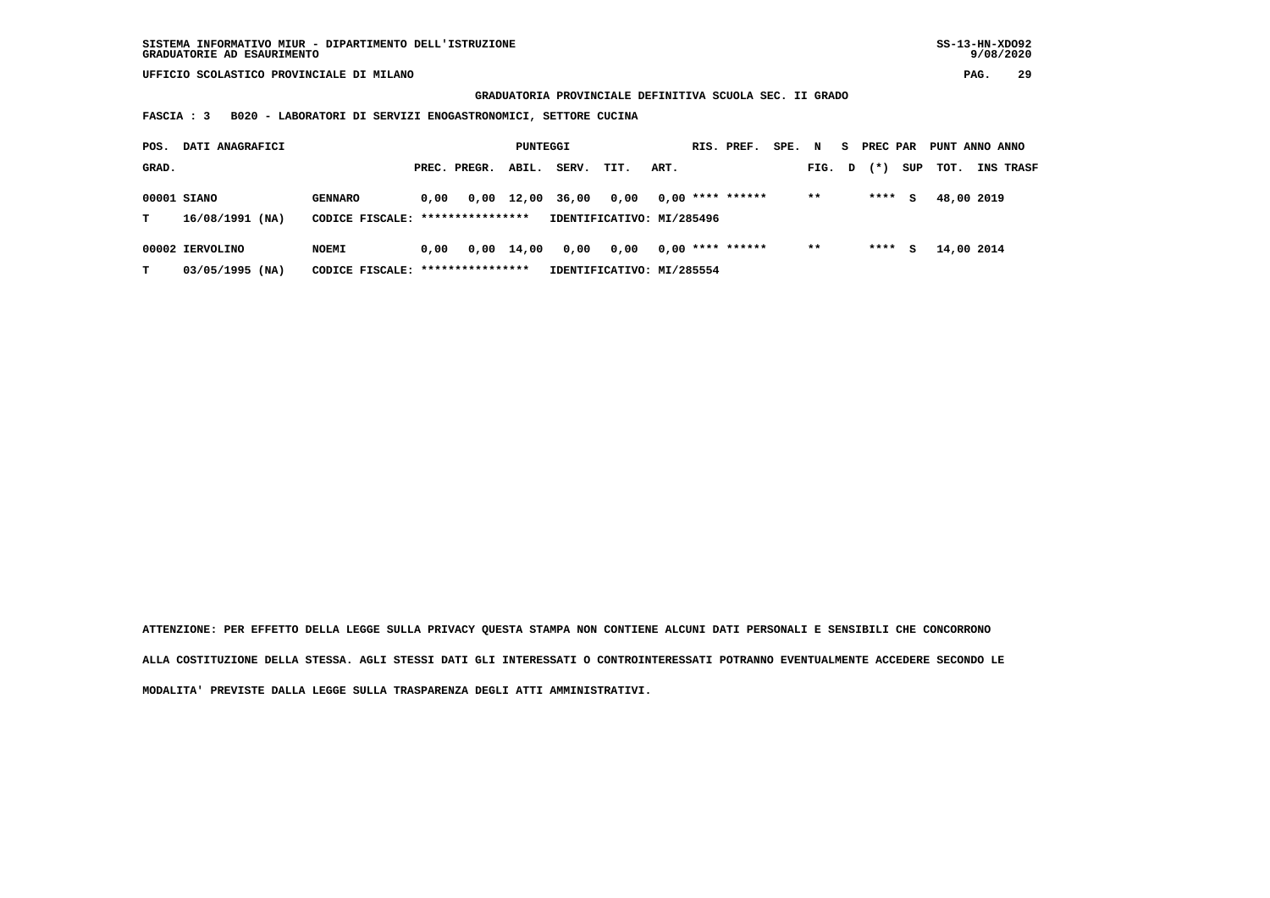**GRADUATORIA PROVINCIALE DEFINITIVA SCUOLA SEC. II GRADO**

 **FASCIA : 3 B020 - LABORATORI DI SERVIZI ENOGASTRONOMICI, SETTORE CUCINA**

| POS.  | DATI ANAGRAFICI                    |                                                    |      |              | PUNTEGGI   |       |                                   |      | RIS. PREF.         | SPE. | N      | s. | PREC PAR |     | PUNT ANNO ANNO |                  |
|-------|------------------------------------|----------------------------------------------------|------|--------------|------------|-------|-----------------------------------|------|--------------------|------|--------|----|----------|-----|----------------|------------------|
| GRAD. |                                    |                                                    |      | PREC. PREGR. | ABIL.      | SERV. | TIT.                              | ART. |                    |      | FIG. D |    | $(*)$    | SUP | тот.           | <b>INS TRASF</b> |
| т     | 00001 SIANO<br>16/08/1991 (NA)     | <b>GENNARO</b><br>CODICE FISCALE: **************** | 0.00 |              | 0,00 12,00 | 36,00 | 0.00<br>IDENTIFICATIVO: MI/285496 |      | $0.00$ **** ****** |      | $* *$  |    | ****     | s   | 48,00 2019     |                  |
| т     | 00002 IERVOLINO<br>03/05/1995 (NA) | <b>NOEMI</b><br>CODICE FISCALE: *****************  | 0.00 |              | 0,00 14,00 | 0,00  | 0,00<br>IDENTIFICATIVO: MI/285554 |      | $0.00$ **** ****** |      | $***$  |    | ****     | s   | 14,00 2014     |                  |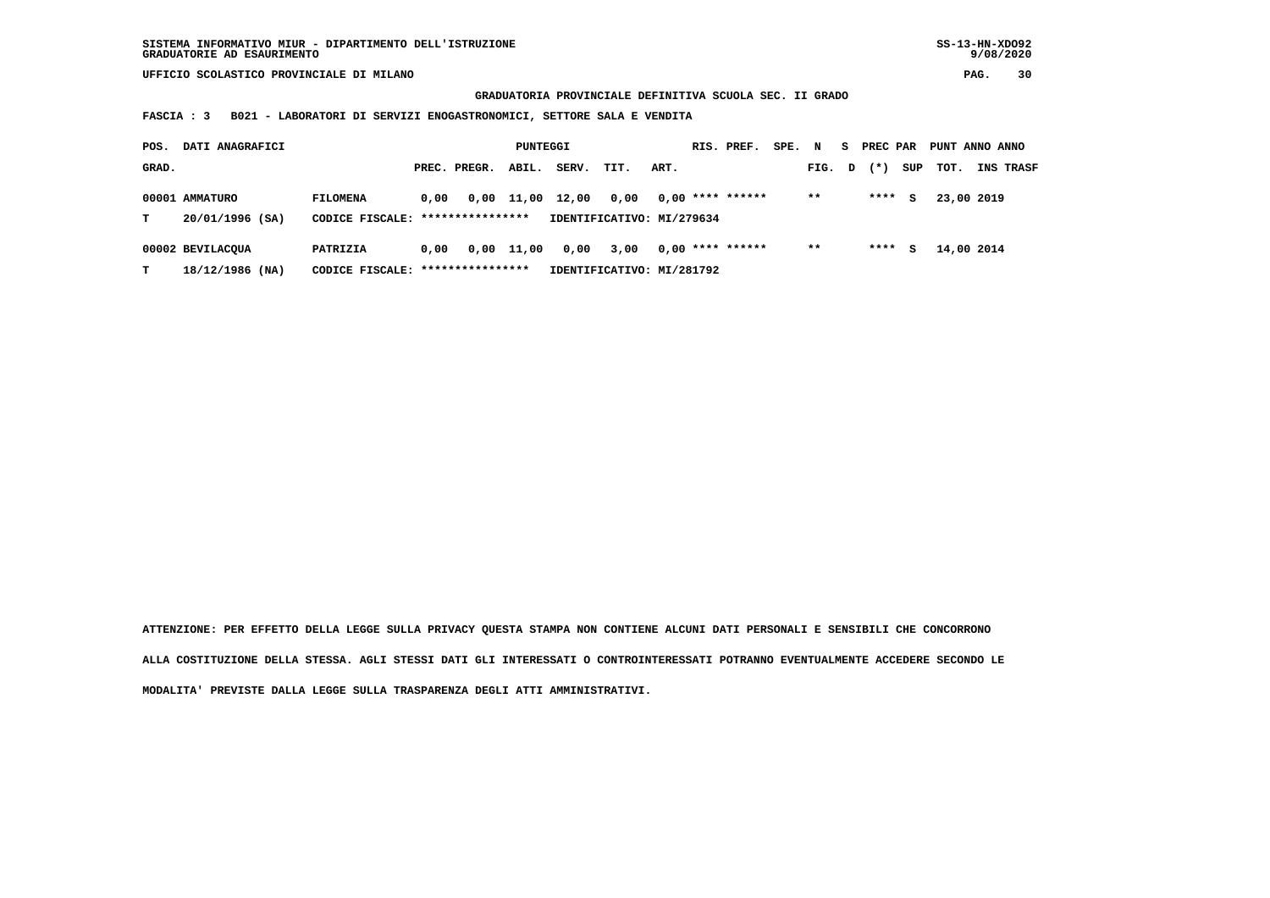**GRADUATORIA PROVINCIALE DEFINITIVA SCUOLA SEC. II GRADO**

 **FASCIA : 3 B021 - LABORATORI DI SERVIZI ENOGASTRONOMICI, SETTORE SALA E VENDITA**

| POS.  | DATI ANAGRAFICI   |                                   |      |              | PUNTEGGI   |       |                           |      | RIS. PREF.         | SPE. | $\mathbf N$ | S. | PREC PAR |     | PUNT ANNO ANNO |           |
|-------|-------------------|-----------------------------------|------|--------------|------------|-------|---------------------------|------|--------------------|------|-------------|----|----------|-----|----------------|-----------|
| GRAD. |                   |                                   |      | PREC. PREGR. | ABIL.      | SERV. | TIT.                      | ART. |                    |      | FIG. D      |    | $(*)$    | SUP | тот.           | INS TRASF |
|       | 00001 AMMATURO    | <b>FILOMENA</b>                   | 0.00 |              | 0,00 11,00 | 12,00 | 0.00                      |      | $0.00$ **** ****** |      | $***$       |    | ****     | s   | 23,00 2019     |           |
| т     | 20/01/1996 (SA)   | CODICE FISCALE: ****************  |      |              |            |       | IDENTIFICATIVO: MI/279634 |      |                    |      |             |    |          |     |                |           |
|       | 00002 BEVILACOUA  | PATRIZIA                          | 0.00 |              | 0,00 11,00 | 0,00  | 3,00                      |      | $0.00$ **** ****** |      | $***$       |    | ****     | s   | 14,00 2014     |           |
| т     | $18/12/1986$ (NA) | CODICE FISCALE: ***************** |      |              |            |       | IDENTIFICATIVO: MI/281792 |      |                    |      |             |    |          |     |                |           |